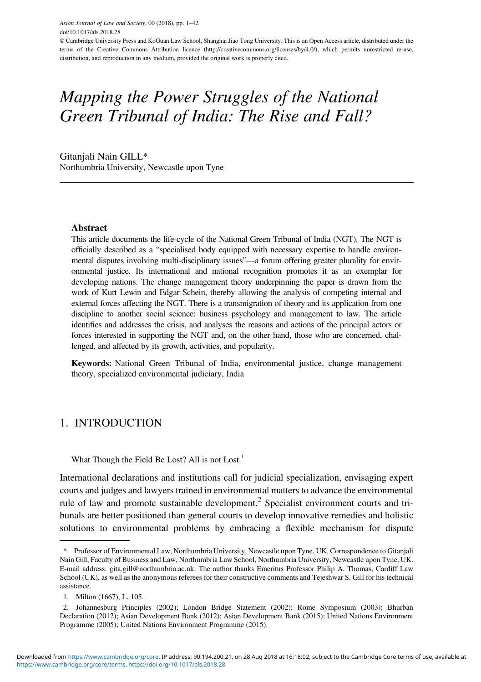Asian Journal of Law and Society, 00 (2018), pp. 1–42 doi[:10.1017/als.2018.28](https://doi.org/10.1017/als.2018.28)

© Cambridge University Press and KoGuan Law School, Shanghai Jiao Tong University. This is an Open Access article, distributed under the terms of the Creative Commons Attribution licence (http://creativecommons.org/licenses/by/4.0/), which permits unrestricted re-use, distribution, and reproduction in any medium, provided the original work is properly cited.

# Mapping the Power Struggles of the National Green Tribunal of India: The Rise and Fall?

Gitanjali Nain GILL\* Northumbria University, Newcastle upon Tyne

#### Abstract

This article documents the life-cycle of the National Green Tribunal of India (NGT). The NGT is officially described as a "specialised body equipped with necessary expertise to handle environmental disputes involving multi-disciplinary issues"—a forum offering greater plurality for environmental justice. Its international and national recognition promotes it as an exemplar for developing nations. The change management theory underpinning the paper is drawn from the work of Kurt Lewin and Edgar Schein, thereby allowing the analysis of competing internal and external forces affecting the NGT. There is a transmigration of theory and its application from one discipline to another social science: business psychology and management to law. The article identifies and addresses the crisis, and analyses the reasons and actions of the principal actors or forces interested in supporting the NGT and, on the other hand, those who are concerned, challenged, and affected by its growth, activities, and popularity.

Keywords: National Green Tribunal of India, environmental justice, change management theory, specialized environmental judiciary, India

# 1. INTRODUCTION

What Though the Field Be Lost? All is not Lost.<sup>1</sup>

International declarations and institutions call for judicial specialization, envisaging expert courts and judges and lawyers trained in environmental matters to advance the environmental rule of law and promote sustainable development.<sup>2</sup> Specialist environment courts and tribunals are better positioned than general courts to develop innovative remedies and holistic solutions to environmental problems by embracing a flexible mechanism for dispute

<sup>\*</sup> Professor of Environmental Law, Northumbria University, Newcastle upon Tyne, UK. Correspondence to Gitanjali Nain Gill, Faculty of Business and Law, Northumbria Law School, Northumbria University, Newcastle upon Tyne, UK. E-mail address: [gita.gill@northumbria.ac.uk](mailto:gita.gill@northumbria.ac.uk). The author thanks Emeritus Professor Philip A. Thomas, Cardiff Law School (UK), as well as the anonymous referees for their constructive comments and Tejeshwar S. Gill for his technical assistance.

<sup>1.</sup> Milton [\(1667\)](#page-39-0), L. 105.

<sup>2.</sup> Johannesburg Principles ([2002](#page-38-0)); London Bridge Statement [\(2002\)](#page-39-0); Rome Symposium ([2003\)](#page-40-0); Bhurban Declaration [\(2012\)](#page-36-0); Asian Development Bank [\(2012\)](#page-36-0); Asian Development Bank [\(2015\)](#page-36-0); United Nations Environment Programme [\(2005\)](#page-41-0); United Nations Environment Programme ([2015](#page-41-0)).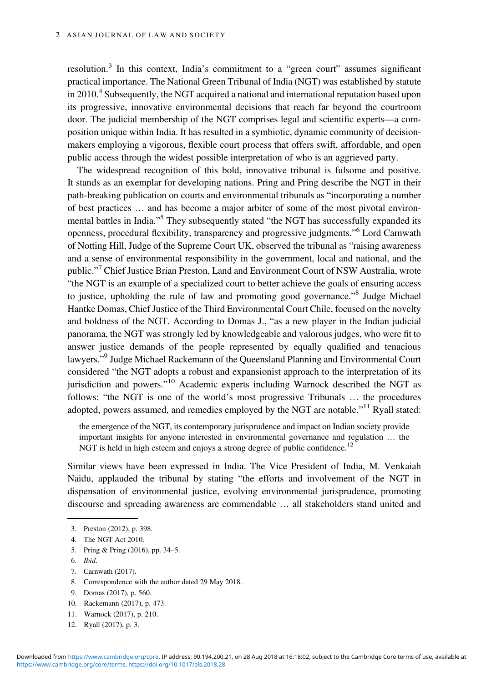resolution.<sup>3</sup> In this context, India's commitment to a "green court" assumes significant practical importance. The National Green Tribunal of India (NGT) was established by statute in 2010.<sup>4</sup> Subsequently, the NGT acquired a national and international reputation based upon its progressive, innovative environmental decisions that reach far beyond the courtroom door. The judicial membership of the NGT comprises legal and scientific experts—a composition unique within India. It has resulted in a symbiotic, dynamic community of decisionmakers employing a vigorous, flexible court process that offers swift, affordable, and open public access through the widest possible interpretation of who is an aggrieved party.

The widespread recognition of this bold, innovative tribunal is fulsome and positive. It stands as an exemplar for developing nations. Pring and Pring describe the NGT in their path-breaking publication on courts and environmental tribunals as "incorporating a number of best practices … and has become a major arbiter of some of the most pivotal environmental battles in India."<sup>5</sup> They subsequently stated "the NGT has successfully expanded its openness, procedural flexibility, transparency and progressive judgments." <sup>6</sup> Lord Carnwath of Notting Hill, Judge of the Supreme Court UK, observed the tribunal as "raising awareness and a sense of environmental responsibility in the government, local and national, and the public." <sup>7</sup> Chief Justice Brian Preston, Land and Environment Court of NSW Australia, wrote "the NGT is an example of a specialized court to better achieve the goals of ensuring access to justice, upholding the rule of law and promoting good governance."<sup>8</sup> Judge Michael Hantke Domas, Chief Justice of the Third Environmental Court Chile, focused on the novelty and boldness of the NGT. According to Domas J., "as a new player in the Indian judicial panorama, the NGT was strongly led by knowledgeable and valorous judges, who were fit to answer justice demands of the people represented by equally qualified and tenacious lawyers." <sup>9</sup> Judge Michael Rackemann of the Queensland Planning and Environmental Court considered "the NGT adopts a robust and expansionist approach to the interpretation of its jurisdiction and powers."<sup>10</sup> Academic experts including Warnock described the NGT as follows: "the NGT is one of the world's most progressive Tribunals … the procedures adopted, powers assumed, and remedies employed by the NGT are notable."<sup>11</sup> Ryall stated:

the emergence of the NGT, its contemporary jurisprudence and impact on Indian society provide important insights for anyone interested in environmental governance and regulation … the NGT is held in high esteem and enjoys a strong degree of public confidence.<sup>12</sup>

Similar views have been expressed in India. The Vice President of India, M. Venkaiah Naidu, applauded the tribunal by stating "the efforts and involvement of the NGT in dispensation of environmental justice, evolving environmental jurisprudence, promoting discourse and spreading awareness are commendable … all stakeholders stand united and

- 5. Pring & Pring ([2016](#page-40-0)), pp. 34–5.
- 6. Ibid.
- 7. Carnwath [\(2017\)](#page-37-0).
- 8. Correspondence with the author dated 29 May 2018.
- 9. Domas [\(2017\)](#page-37-0), p. 560.
- 10. Rackemann ([2017](#page-40-0)), p. 473.
- 11. Warnock ([2017](#page-41-0)), p. 210.
- 12. Ryall [\(2017\)](#page-40-0), p. 3.

<sup>3.</sup> Preston [\(2012\)](#page-40-0), p. 398.

<sup>4.</sup> The NGT Act 2010.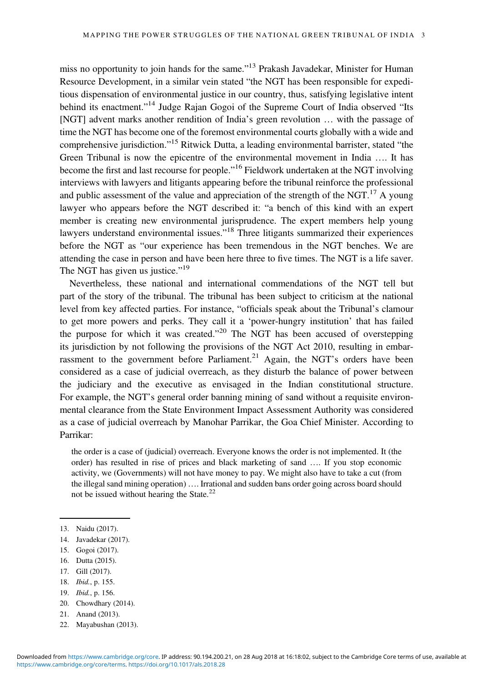miss no opportunity to join hands for the same."<sup>13</sup> Prakash Javadekar, Minister for Human Resource Development, in a similar vein stated "the NGT has been responsible for expeditious dispensation of environmental justice in our country, thus, satisfying legislative intent behind its enactment."<sup>14</sup> Judge Rajan Gogoi of the Supreme Court of India observed "Its [NGT] advent marks another rendition of India's green revolution … with the passage of time the NGT has become one of the foremost environmental courts globally with a wide and comprehensive jurisdiction."<sup>15</sup> Ritwick Dutta, a leading environmental barrister, stated "the Green Tribunal is now the epicentre of the environmental movement in India …. It has become the first and last recourse for people."<sup>16</sup> Fieldwork undertaken at the NGT involving interviews with lawyers and litigants appearing before the tribunal reinforce the professional and public assessment of the value and appreciation of the strength of the NGT.<sup>17</sup> A young lawyer who appears before the NGT described it: "a bench of this kind with an expert member is creating new environmental jurisprudence. The expert members help young lawyers understand environmental issues."<sup>18</sup> Three litigants summarized their experiences before the NGT as "our experience has been tremendous in the NGT benches. We are attending the case in person and have been here three to five times. The NGT is a life saver. The NGT has given us justice."<sup>19</sup>

Nevertheless, these national and international commendations of the NGT tell but part of the story of the tribunal. The tribunal has been subject to criticism at the national level from key affected parties. For instance, "officials speak about the Tribunal's clamour to get more powers and perks. They call it a 'power-hungry institution' that has failed the purpose for which it was created."<sup>20</sup> The NGT has been accused of overstepping its jurisdiction by not following the provisions of the NGT Act 2010, resulting in embarrassment to the government before Parliament.<sup>21</sup> Again, the NGT's orders have been considered as a case of judicial overreach, as they disturb the balance of power between the judiciary and the executive as envisaged in the Indian constitutional structure. For example, the NGT's general order banning mining of sand without a requisite environmental clearance from the State Environment Impact Assessment Authority was considered as a case of judicial overreach by Manohar Parrikar, the Goa Chief Minister. According to Parrikar:

the order is a case of (judicial) overreach. Everyone knows the order is not implemented. It (the order) has resulted in rise of prices and black marketing of sand …. If you stop economic activity, we (Governments) will not have money to pay. We might also have to take a cut (from the illegal sand mining operation) …. Irrational and sudden bans order going across board should not be issued without hearing the State.<sup>22</sup>

- 14. Javadekar [\(2017\)](#page-38-0).
- 15. Gogoi ([2017](#page-38-0)).
- 16. Dutta ([2015](#page-37-0)).
- 17. Gill ([2017](#page-38-0)).
- 18. Ibid., p. 155.
- 19. Ibid., p. 156.
- 20. Chowdhary ([2014](#page-37-0)).
- 21. Anand [\(2013\)](#page-36-0).
- 22. Mayabushan ([2013](#page-39-0)).

<sup>13.</sup> Naidu [\(2017\)](#page-39-0).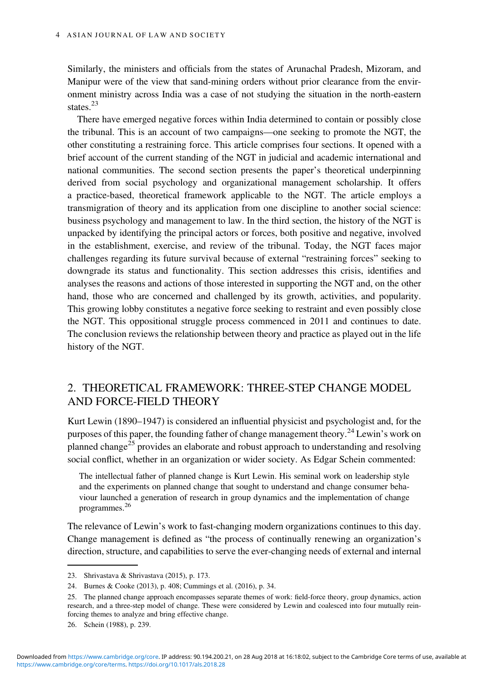Similarly, the ministers and officials from the states of Arunachal Pradesh, Mizoram, and Manipur were of the view that sand-mining orders without prior clearance from the environment ministry across India was a case of not studying the situation in the north-eastern states.<sup>23</sup>

There have emerged negative forces within India determined to contain or possibly close the tribunal. This is an account of two campaigns—one seeking to promote the NGT, the other constituting a restraining force. This article comprises four sections. It opened with a brief account of the current standing of the NGT in judicial and academic international and national communities. The second section presents the paper's theoretical underpinning derived from social psychology and organizational management scholarship. It offers a practice-based, theoretical framework applicable to the NGT. The article employs a transmigration of theory and its application from one discipline to another social science: business psychology and management to law. In the third section, the history of the NGT is unpacked by identifying the principal actors or forces, both positive and negative, involved in the establishment, exercise, and review of the tribunal. Today, the NGT faces major challenges regarding its future survival because of external "restraining forces" seeking to downgrade its status and functionality. This section addresses this crisis, identifies and analyses the reasons and actions of those interested in supporting the NGT and, on the other hand, those who are concerned and challenged by its growth, activities, and popularity. This growing lobby constitutes a negative force seeking to restraint and even possibly close the NGT. This oppositional struggle process commenced in 2011 and continues to date. The conclusion reviews the relationship between theory and practice as played out in the life history of the NGT.

# 2. THEORETICAL FRAMEWORK: THREE-STEP CHANGE MODEL AND FORCE-FIELD THEORY

Kurt Lewin (1890–[1947\)](#page-39-0) is considered an influential physicist and psychologist and, for the purposes of this paper, the founding father of change management theory.<sup>24</sup> Lewin's work on planned change<sup>25</sup> provides an elaborate and robust approach to understanding and resolving social conflict, whether in an organization or wider society. As Edgar Schein commented:

The intellectual father of planned change is Kurt Lewin. His seminal work on leadership style and the experiments on planned change that sought to understand and change consumer behaviour launched a generation of research in group dynamics and the implementation of change programmes.<sup>26</sup>

The relevance of Lewin's work to fast-changing modern organizations continues to this day. Change management is defined as "the process of continually renewing an organization's direction, structure, and capabilities to serve the ever-changing needs of external and internal

<sup>23.</sup> Shrivastava & Shrivastava [\(2015\)](#page-41-0), p. 173.

<sup>24.</sup> Burnes & Cooke ([2013](#page-37-0)), p. 408; Cummings et al. ([2016](#page-37-0)), p. 34.

<sup>25.</sup> The planned change approach encompasses separate themes of work: field-force theory, group dynamics, action research, and a three-step model of change. These were considered by Lewin and coalesced into four mutually reinforcing themes to analyze and bring effective change.

<sup>26.</sup> Schein ([1988](#page-40-0)), p. 239.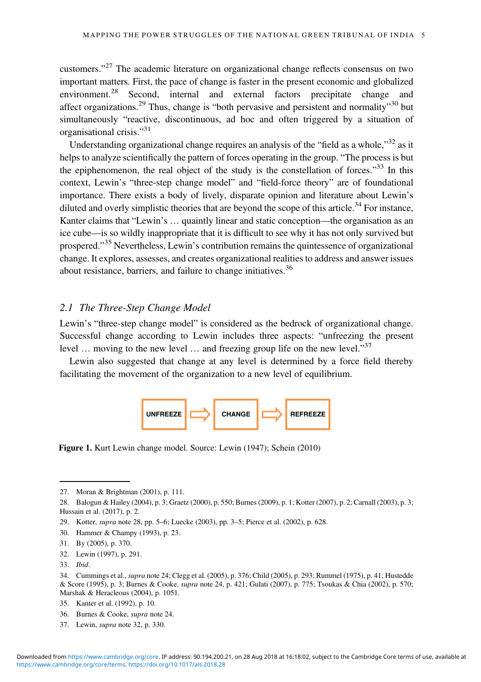customers."<sup>27</sup> The academic literature on organizational change reflects consensus on two important matters. First, the pace of change is faster in the present economic and globalized environment.<sup>28</sup> Second, internal and external factors precipitate change and affect organizations.<sup>29</sup> Thus, change is "both pervasive and persistent and normality"<sup>30</sup> but simultaneously "reactive, discontinuous, ad hoc and often triggered by a situation of organisational crisis." 31

Understanding organizational change requires an analysis of the "field as a whole,"<sup>32</sup> as it helps to analyze scientifically the pattern of forces operating in the group. "The process is but the epiphenomenon, the real object of the study is the constellation of forces. $33$  In this context, Lewin's "three-step change model" and "field-force theory" are of foundational importance. There exists a body of lively, disparate opinion and literature about Lewin's diluted and overly simplistic theories that are beyond the scope of this article.<sup>34</sup> For instance, Kanter claims that "Lewin's … quaintly linear and static conception—the organisation as an ice cube—is so wildly inappropriate that it is difficult to see why it has not only survived but prospered."<sup>35</sup> Nevertheless, Lewin's contribution remains the quintessence of organizational change. It explores, assesses, and creates organizational realities to address and answer issues about resistance, barriers, and failure to change initiatives.<sup>36</sup>

# 2.1 The Three-Step Change Model

Lewin's "three-step change model" is considered as the bedrock of organizational change. Successful change according to Lewin includes three aspects: "unfreezing the present level ... moving to the new level ... and freezing group life on the new level."<sup>37</sup>

Lewin also suggested that change at any level is determined by a force field thereby facilitating the movement of the organization to a new level of equilibrium.



Figure 1. Kurt Lewin change model. Source: Lewin ([1947\)](#page-39-0); Schein ([2010\)](#page-40-0)

33. Ibid.

- 35. Kanter et al. ([1992\)](#page-38-0), p. 10.
- 36. Burnes & Cooke, supra note 24.

<sup>27.</sup> Moran & Brightman [\(2001\)](#page-39-0), p. 111.

<sup>28.</sup> Balogun & Hailey [\(2004\)](#page-36-0), p. 3; Graetz ([2000](#page-38-0)), p. 550; Burnes [\(2009\)](#page-37-0), p. 1; Kotter ([2007](#page-38-0)), p. 2; Carnall [\(2003\)](#page-37-0), p. 3; Hussain et al. ([2017](#page-38-0)), p. 2.

<sup>29.</sup> Kotter, supra note 28, pp. 5–6; Luecke ([2003](#page-39-0)), pp. 3–5; Pierce et al. [\(2002](#page-40-0)), p. 628.

<sup>30.</sup> Hammer & Champy ([1993](#page-38-0)), p. 23.

<sup>31.</sup> By ([2005](#page-37-0)), p. 370.

<sup>32.</sup> Lewin [\(1997\)](#page-39-0), p. 291.

<sup>34.</sup> Cummings et al., supra note 24; Clegg et al. [\(2005\)](#page-37-0), p. 376; Child [\(2005\)](#page-37-0), p. 293; Rummel ([1975](#page-40-0)), p. 41; Hustedde & Score [\(1995\)](#page-38-0), p. 3; Burnes & Cooke, supra note 24, p. 421; Gulati ([2007](#page-38-0)), p. 775; Tsoukas & Chia [\(2002\)](#page-41-0), p. 570; Marshak & Heracleous [\(2004\)](#page-39-0), p. 1051.

<sup>37.</sup> Lewin, supra note 32, p. 330.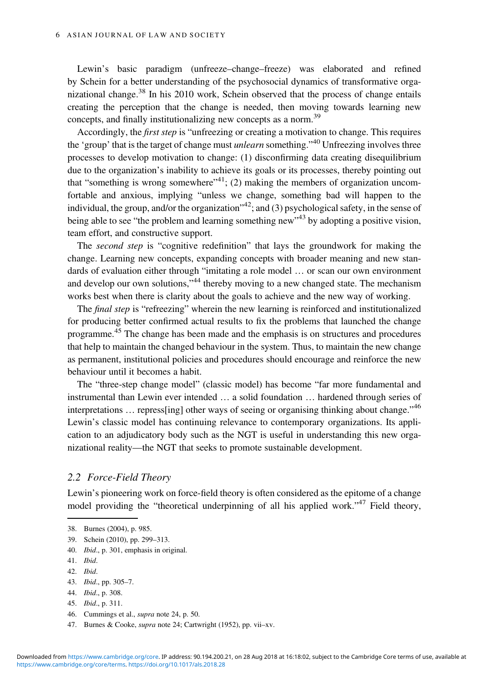Lewin's basic paradigm (unfreeze–change–freeze) was elaborated and refined by Schein for a better understanding of the psychosocial dynamics of transformative organizational change. $38$  In his 2010 work, Schein observed that the process of change entails creating the perception that the change is needed, then moving towards learning new concepts, and finally institutionalizing new concepts as a norm.<sup>39</sup>

Accordingly, the first step is "unfreezing or creating a motivation to change. This requires the 'group' that is the target of change must *unlearn* something."<sup>40</sup> Unfreezing involves three processes to develop motivation to change: (1) disconfirming data creating disequilibrium due to the organization's inability to achieve its goals or its processes, thereby pointing out that "something is wrong somewhere"<sup>41</sup>; (2) making the members of organization uncomfortable and anxious, implying "unless we change, something bad will happen to the individual, the group, and/or the organization"<sup>42</sup>; and (3) psychological safety, in the sense of being able to see "the problem and learning something new"<sup>43</sup> by adopting a positive vision, team effort, and constructive support.

The second step is "cognitive redefinition" that lays the groundwork for making the change. Learning new concepts, expanding concepts with broader meaning and new standards of evaluation either through "imitating a role model ... or scan our own environment and develop our own solutions,"<sup>44</sup> thereby moving to a new changed state. The mechanism works best when there is clarity about the goals to achieve and the new way of working.

The *final step* is "refreezing" wherein the new learning is reinforced and institutionalized for producing better confirmed actual results to fix the problems that launched the change programme.<sup>45</sup> The change has been made and the emphasis is on structures and procedures that help to maintain the changed behaviour in the system. Thus, to maintain the new change as permanent, institutional policies and procedures should encourage and reinforce the new behaviour until it becomes a habit.

The "three-step change model" (classic model) has become "far more fundamental and instrumental than Lewin ever intended … a solid foundation … hardened through series of interpretations ... repress[ing] other ways of seeing or organising thinking about change."<sup>46</sup> Lewin's classic model has continuing relevance to contemporary organizations. Its application to an adjudicatory body such as the NGT is useful in understanding this new organizational reality—the NGT that seeks to promote sustainable development.

#### 2.2 Force-Field Theory

Lewin's pioneering work on force-field theory is often considered as the epitome of a change model providing the "theoretical underpinning of all his applied work."<sup>47</sup> Field theory,

- 39. Schein ([2010](#page-40-0)), pp. 299–313.
- 40. Ibid., p. 301, emphasis in original.
- 41. Ibid.
- 42. Ibid.
- 43. Ibid., pp. 305–7.
- 44. Ibid., p. 308.
- 45. Ibid., p. 311.
- 46. Cummings et al., supra note 24, p. 50.
- 47. Burnes & Cooke, supra note 24; Cartwright ([1952](#page-37-0)), pp. vii–xv.

<sup>38.</sup> Burnes [\(2004\)](#page-36-0), p. 985.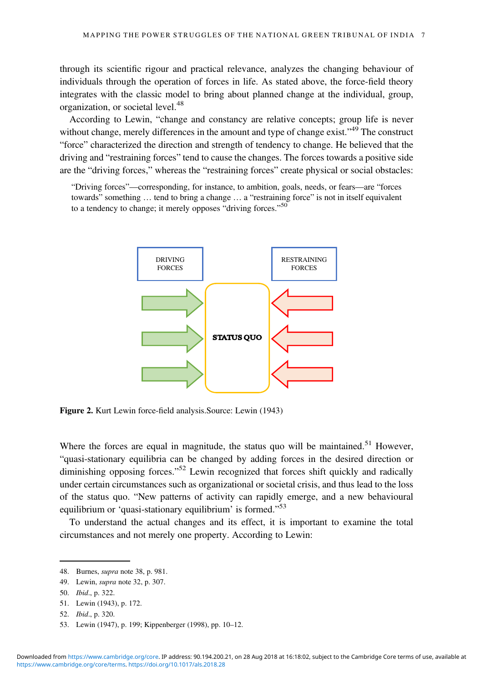through its scientific rigour and practical relevance, analyzes the changing behaviour of individuals through the operation of forces in life. As stated above, the force-field theory integrates with the classic model to bring about planned change at the individual, group, organization, or societal level.<sup>48</sup>

According to Lewin, "change and constancy are relative concepts; group life is never without change, merely differences in the amount and type of change exist."<sup>49</sup> The construct "force" characterized the direction and strength of tendency to change. He believed that the driving and "restraining forces" tend to cause the changes. The forces towards a positive side are the "driving forces," whereas the "restraining forces" create physical or social obstacles:

"Driving forces"—corresponding, for instance, to ambition, goals, needs, or fears—are "forces towards" something … tend to bring a change … a "restraining force" is not in itself equivalent to a tendency to change; it merely opposes "driving forces."<sup>50</sup>



Figure 2. Kurt Lewin force-field analysis.Source: Lewin [\(1943](#page-39-0))

Where the forces are equal in magnitude, the status quo will be maintained.<sup>51</sup> However, "quasi-stationary equilibria can be changed by adding forces in the desired direction or diminishing opposing forces."<sup>52</sup> Lewin recognized that forces shift quickly and radically under certain circumstances such as organizational or societal crisis, and thus lead to the loss of the status quo. "New patterns of activity can rapidly emerge, and a new behavioural equilibrium or 'quasi-stationary equilibrium' is formed."<sup>53</sup>

To understand the actual changes and its effect, it is important to examine the total circumstances and not merely one property. According to Lewin:

<sup>48.</sup> Burnes, supra note 38, p. 981.

<sup>49.</sup> Lewin, supra note 32, p. 307.

<sup>50.</sup> Ibid., p. 322.

<sup>51.</sup> Lewin [\(1943\)](#page-39-0), p. 172.

<sup>52.</sup> Ibid., p. 320.

<sup>53.</sup> Lewin [\(1947\)](#page-39-0), p. 199; Kippenberger ([1998](#page-38-0)), pp. 10–12.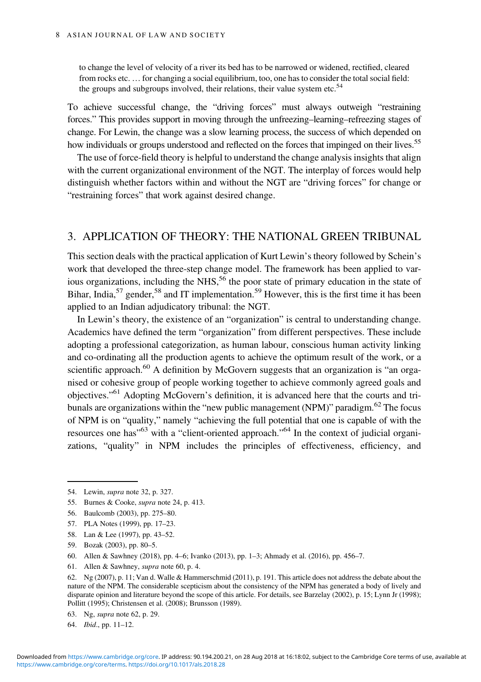to change the level of velocity of a river its bed has to be narrowed or widened, rectified, cleared from rocks etc. … for changing a social equilibrium, too, one has to consider the total social field: the groups and subgroups involved, their relations, their value system etc.<sup>54</sup>

To achieve successful change, the "driving forces" must always outweigh "restraining forces." This provides support in moving through the unfreezing–learning–refreezing stages of change. For Lewin, the change was a slow learning process, the success of which depended on how individuals or groups understood and reflected on the forces that impinged on their lives.<sup>55</sup>

The use of force-field theory is helpful to understand the change analysis insights that align with the current organizational environment of the NGT. The interplay of forces would help distinguish whether factors within and without the NGT are "driving forces" for change or "restraining forces" that work against desired change.

# 3. APPLICATION OF THEORY: THE NATIONAL GREEN TRIBUNAL

This section deals with the practical application of Kurt Lewin's theory followed by Schein's work that developed the three-step change model. The framework has been applied to various organizations, including the NHS,  $5\overline{6}$  the poor state of primary education in the state of Bihar, India,  $57$  gender,  $58$  and IT implementation.  $59$  However, this is the first time it has been applied to an Indian adjudicatory tribunal: the NGT.

In Lewin's theory, the existence of an "organization" is central to understanding change. Academics have defined the term "organization" from different perspectives. These include adopting a professional categorization, as human labour, conscious human activity linking and co-ordinating all the production agents to achieve the optimum result of the work, or a scientific approach.<sup>60</sup> A definition by McGovern suggests that an organization is "an organised or cohesive group of people working together to achieve commonly agreed goals and objectives."<sup>61</sup> Adopting McGovern's definition, it is advanced here that the courts and tribunals are organizations within the "new public management (NPM)" paradigm.<sup>62</sup> The focus of NPM is on "quality," namely "achieving the full potential that one is capable of with the resources one has"<sup>63</sup> with a "client-oriented approach."<sup>64</sup> In the context of judicial organizations, "quality" in NPM includes the principles of effectiveness, efficiency, and

56. Baulcomb [\(2003\)](#page-36-0), pp. 275–80.

- 58. Lan & Lee [\(1997\)](#page-38-0), pp. 43–52.
- 59. Bozak [\(2003\)](#page-36-0), pp. 80–5.

61. Allen & Sawhney, supra note 60, p. 4.

62. Ng ([2007\)](#page-40-0), p. 11; Van d. Walle & Hammerschmid [\(2011\)](#page-41-0), p. 191. This article does not address the debate about the nature of the NPM. The considerable scepticism about the consistency of the NPM has generated a body of lively and disparate opinion and literature beyond the scope of this article. For details, see Barzelay [\(2002\)](#page-36-0), p. 15; Lynn Jr ([1998](#page-39-0)); Pollitt [\(1995\)](#page-40-0); Christensen et al. [\(2008\)](#page-37-0); Brunsson [\(1989\)](#page-36-0).

- 63. Ng, supra note 62, p. 29.
- 64. Ibid., pp. 11–12.

<sup>54.</sup> Lewin, supra note 32, p. 327.

<sup>55.</sup> Burnes & Cooke, supra note 24, p. 413.

<sup>57.</sup> PLA Notes [\(1999\)](#page-40-0), pp. 17–23.

<sup>60.</sup> Allen & Sawhney ([2018](#page-36-0)), pp. 4–6; Ivanko [\(2013\)](#page-38-0), pp. 1–3; Ahmady et al. ([2016](#page-36-0)), pp. 456–7.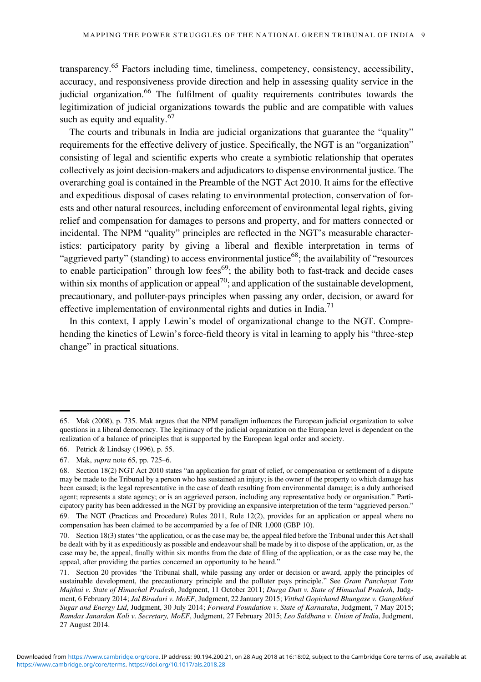transparency.<sup>65</sup> Factors including time, timeliness, competency, consistency, accessibility, accuracy, and responsiveness provide direction and help in assessing quality service in the judicial organization.<sup>66</sup> The fulfilment of quality requirements contributes towards the legitimization of judicial organizations towards the public and are compatible with values such as equity and equality. $67$ 

The courts and tribunals in India are judicial organizations that guarantee the "quality" requirements for the effective delivery of justice. Specifically, the NGT is an "organization" consisting of legal and scientific experts who create a symbiotic relationship that operates collectively as joint decision-makers and adjudicators to dispense environmental justice. The overarching goal is contained in the Preamble of the NGT Act 2010. It aims for the effective and expeditious disposal of cases relating to environmental protection, conservation of forests and other natural resources, including enforcement of environmental legal rights, giving relief and compensation for damages to persons and property, and for matters connected or incidental. The NPM "quality" principles are reflected in the NGT's measurable characteristics: participatory parity by giving a liberal and flexible interpretation in terms of "aggrieved party" (standing) to access environmental justice<sup>68</sup>; the availability of "resources" to enable participation" through low fees<sup>69</sup>; the ability both to fast-track and decide cases within six months of application or appeal<sup>70</sup>; and application of the sustainable development, precautionary, and polluter-pays principles when passing any order, decision, or award for effective implementation of environmental rights and duties in India.<sup>71</sup>

In this context, I apply Lewin's model of organizational change to the NGT. Comprehending the kinetics of Lewin's force-field theory is vital in learning to apply his "three-step change" in practical situations.

<sup>65.</sup> Mak ([2008](#page-39-0)), p. 735. Mak argues that the NPM paradigm influences the European judicial organization to solve questions in a liberal democracy. The legitimacy of the judicial organization on the European level is dependent on the realization of a balance of principles that is supported by the European legal order and society.

<sup>66.</sup> Petrick & Lindsay [\(1996\)](#page-40-0), p. 55.

<sup>67.</sup> Mak, supra note 65, pp. 725–6.

<sup>68.</sup> Section 18(2) NGT Act 2010 states "an application for grant of relief, or compensation or settlement of a dispute may be made to the Tribunal by a person who has sustained an injury; is the owner of the property to which damage has been caused; is the legal representative in the case of death resulting from environmental damage; is a duly authorised agent; represents a state agency; or is an aggrieved person, including any representative body or organisation." Participatory parity has been addressed in the NGT by providing an expansive interpretation of the term "aggrieved person." 69. The NGT (Practices and Procedure) Rules 2011, Rule 12(2), provides for an application or appeal where no compensation has been claimed to be accompanied by a fee of INR 1,000 (GBP 10).

<sup>70.</sup> Section 18(3) states "the application, or as the case may be, the appeal filed before the Tribunal under this Act shall be dealt with by it as expeditiously as possible and endeavour shall be made by it to dispose of the application, or, as the case may be, the appeal, finally within six months from the date of filing of the application, or as the case may be, the appeal, after providing the parties concerned an opportunity to be heard."

<sup>71.</sup> Section 20 provides "the Tribunal shall, while passing any order or decision or award, apply the principles of sustainable development, the precautionary principle and the polluter pays principle." See Gram Panchayat Totu Majthai v. State of Himachal Pradesh, Judgment, 11 October 2011; Durga Dutt v. State of Himachal Pradesh, Judgment, 6 February 2014; Jal Biradari v. MoEF, Judgment, 22 January 2015; Vitthal Gopichand Bhungase v. Gangakhed Sugar and Energy Ltd, Judgment, 30 July 2014; Forward Foundation v. State of Karnataka, Judgment, 7 May 2015; Ramdas Janardan Koli v. Secretary, MoEF, Judgment, 27 February 2015; Leo Saldhana v. Union of India, Judgment, 27 August 2014.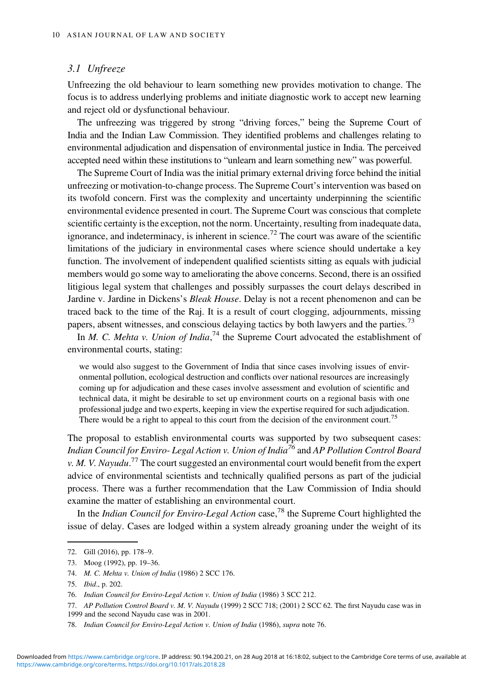# 3.1 Unfreeze

Unfreezing the old behaviour to learn something new provides motivation to change. The focus is to address underlying problems and initiate diagnostic work to accept new learning and reject old or dysfunctional behaviour.

The unfreezing was triggered by strong "driving forces," being the Supreme Court of India and the Indian Law Commission. They identified problems and challenges relating to environmental adjudication and dispensation of environmental justice in India. The perceived accepted need within these institutions to "unlearn and learn something new" was powerful.

The Supreme Court of India was the initial primary external driving force behind the initial unfreezing or motivation-to-change process. The Supreme Court's intervention was based on its twofold concern. First was the complexity and uncertainty underpinning the scientific environmental evidence presented in court. The Supreme Court was conscious that complete scientific certainty is the exception, not the norm. Uncertainty, resulting from inadequate data, ignorance, and indeterminacy, is inherent in science.<sup>72</sup> The court was aware of the scientific limitations of the judiciary in environmental cases where science should undertake a key function. The involvement of independent qualified scientists sitting as equals with judicial members would go some way to ameliorating the above concerns. Second, there is an ossified litigious legal system that challenges and possibly surpasses the court delays described in Jardine v. Jardine in Dickens's Bleak House. Delay is not a recent phenomenon and can be traced back to the time of the Raj. It is a result of court clogging, adjournments, missing papers, absent witnesses, and conscious delaying tactics by both lawyers and the parties.<sup>73</sup>

In *M. C. Mehta v. Union of India*,<sup>74</sup> the Supreme Court advocated the establishment of environmental courts, stating:

we would also suggest to the Government of India that since cases involving issues of environmental pollution, ecological destruction and conflicts over national resources are increasingly coming up for adjudication and these cases involve assessment and evolution of scientific and technical data, it might be desirable to set up environment courts on a regional basis with one professional judge and two experts, keeping in view the expertise required for such adjudication. There would be a right to appeal to this court from the decision of the environment court.<sup>75</sup>

The proposal to establish environmental courts was supported by two subsequent cases: Indian Council for Enviro-Legal Action v. Union of India<sup>76</sup> and AP Pollution Control Board v. M. V. Nayudu.<sup>77</sup> The court suggested an environmental court would benefit from the expert advice of environmental scientists and technically qualified persons as part of the judicial process. There was a further recommendation that the Law Commission of India should examine the matter of establishing an environmental court.

In the *Indian Council for Enviro-Legal Action* case,<sup>78</sup> the Supreme Court highlighted the issue of delay. Cases are lodged within a system already groaning under the weight of its

<sup>72.</sup> Gill ([2016\)](#page-38-0), pp. 178–9.

<sup>73.</sup> Moog [\(1992\)](#page-39-0), pp. 19–36.

<sup>74.</sup> M. C. Mehta v. Union of India (1986) 2 SCC 176.

<sup>75.</sup> Ibid., p. 202.

<sup>76.</sup> Indian Council for Enviro-Legal Action v. Union of India (1986) 3 SCC 212.

<sup>77.</sup> AP Pollution Control Board v. M. V. Nayudu (1999) 2 SCC 718; (2001) 2 SCC 62. The first Nayudu case was in 1999 and the second Nayudu case was in 2001.

<sup>78.</sup> Indian Council for Enviro-Legal Action v. Union of India (1986), supra note 76.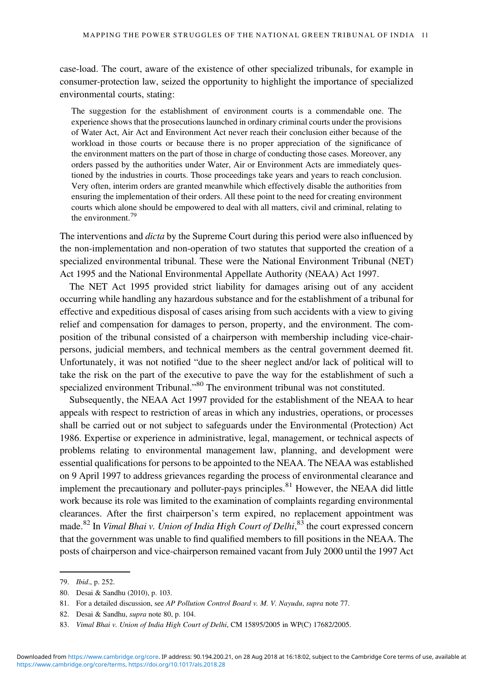case-load. The court, aware of the existence of other specialized tribunals, for example in consumer-protection law, seized the opportunity to highlight the importance of specialized environmental courts, stating:

The suggestion for the establishment of environment courts is a commendable one. The experience shows that the prosecutions launched in ordinary criminal courts under the provisions of Water Act, Air Act and Environment Act never reach their conclusion either because of the workload in those courts or because there is no proper appreciation of the significance of the environment matters on the part of those in charge of conducting those cases. Moreover, any orders passed by the authorities under Water, Air or Environment Acts are immediately questioned by the industries in courts. Those proceedings take years and years to reach conclusion. Very often, interim orders are granted meanwhile which effectively disable the authorities from ensuring the implementation of their orders. All these point to the need for creating environment courts which alone should be empowered to deal with all matters, civil and criminal, relating to the environment.<sup>79</sup>

The interventions and *dicta* by the Supreme Court during this period were also influenced by the non-implementation and non-operation of two statutes that supported the creation of a specialized environmental tribunal. These were the National Environment Tribunal (NET) Act 1995 and the National Environmental Appellate Authority (NEAA) Act 1997.

The NET Act 1995 provided strict liability for damages arising out of any accident occurring while handling any hazardous substance and for the establishment of a tribunal for effective and expeditious disposal of cases arising from such accidents with a view to giving relief and compensation for damages to person, property, and the environment. The composition of the tribunal consisted of a chairperson with membership including vice-chairpersons, judicial members, and technical members as the central government deemed fit. Unfortunately, it was not notified "due to the sheer neglect and/or lack of political will to take the risk on the part of the executive to pave the way for the establishment of such a specialized environment Tribunal."<sup>80</sup> The environment tribunal was not constituted.

Subsequently, the NEAA Act 1997 provided for the establishment of the NEAA to hear appeals with respect to restriction of areas in which any industries, operations, or processes shall be carried out or not subject to safeguards under the Environmental (Protection) Act 1986. Expertise or experience in administrative, legal, management, or technical aspects of problems relating to environmental management law, planning, and development were essential qualifications for persons to be appointed to the NEAA. The NEAA was established on 9 April 1997 to address grievances regarding the process of environmental clearance and implement the precautionary and polluter-pays principles.<sup>81</sup> However, the NEAA did little work because its role was limited to the examination of complaints regarding environmental clearances. After the first chairperson's term expired, no replacement appointment was made.<sup>82</sup> In *Vimal Bhai v. Union of India High Court of Delhi*,<sup>83</sup> the court expressed concern that the government was unable to find qualified members to fill positions in the NEAA. The posts of chairperson and vice-chairperson remained vacant from July 2000 until the 1997 Act

<sup>79.</sup> Ibid., p. 252.

<sup>80.</sup> Desai & Sandhu [\(2010\)](#page-37-0), p. 103.

<sup>81.</sup> For a detailed discussion, see AP Pollution Control Board v. M. V. Nayudu, supra note 77.

<sup>82.</sup> Desai & Sandhu, supra note 80, p. 104.

<sup>83.</sup> Vimal Bhai v. Union of India High Court of Delhi, CM 15895/2005 in WP(C) 17682/2005.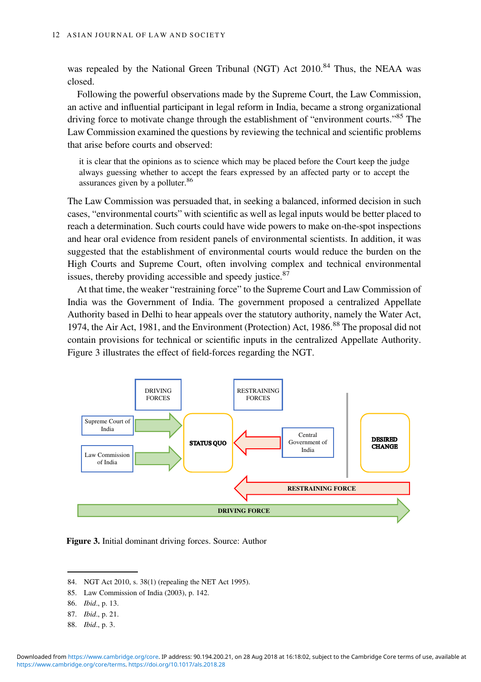was repealed by the National Green Tribunal (NGT) Act 2010.<sup>84</sup> Thus, the NEAA was closed.

Following the powerful observations made by the Supreme Court, the Law Commission, an active and influential participant in legal reform in India, became a strong organizational driving force to motivate change through the establishment of "environment courts."<sup>85</sup> The Law Commission examined the questions by reviewing the technical and scientific problems that arise before courts and observed:

it is clear that the opinions as to science which may be placed before the Court keep the judge always guessing whether to accept the fears expressed by an affected party or to accept the assurances given by a polluter.<sup>86</sup>

The Law Commission was persuaded that, in seeking a balanced, informed decision in such cases, "environmental courts" with scientific as well as legal inputs would be better placed to reach a determination. Such courts could have wide powers to make on-the-spot inspections and hear oral evidence from resident panels of environmental scientists. In addition, it was suggested that the establishment of environmental courts would reduce the burden on the High Courts and Supreme Court, often involving complex and technical environmental issues, thereby providing accessible and speedy justice. $87$ 

At that time, the weaker "restraining force" to the Supreme Court and Law Commission of India was the Government of India. The government proposed a centralized Appellate Authority based in Delhi to hear appeals over the statutory authority, namely the Water Act, 1974, the Air Act, 1981, and the Environment (Protection) Act, 1986.<sup>88</sup> The proposal did not contain provisions for technical or scientific inputs in the centralized Appellate Authority. Figure 3 illustrates the effect of field-forces regarding the NGT.



Figure 3. Initial dominant driving forces. Source: Author

- 86. Ibid., p. 13.
- 87. Ibid., p. 21.

<sup>84.</sup> NGT Act 2010, s. 38(1) (repealing the NET Act 1995).

<sup>85.</sup> Law Commission of India [\(2003\)](#page-38-0), p. 142.

<sup>88.</sup> Ibid., p. 3.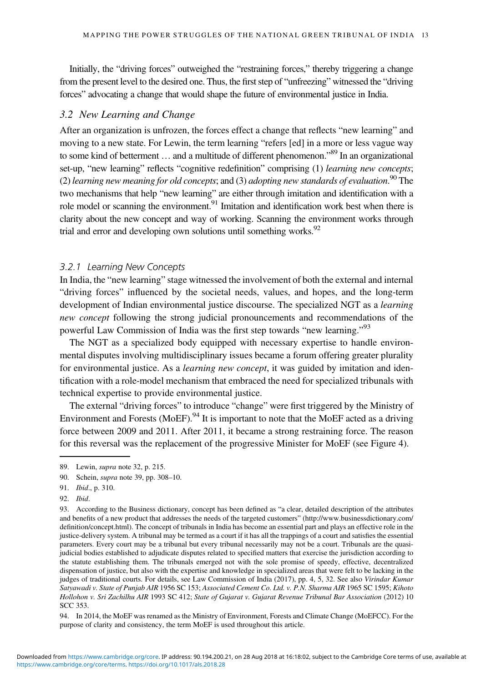Initially, the "driving forces" outweighed the "restraining forces," thereby triggering a change from the present level to the desired one. Thus, the first step of "unfreezing" witnessed the "driving forces" advocating a change that would shape the future of environmental justice in India.

#### 3.2 New Learning and Change

After an organization is unfrozen, the forces effect a change that reflects "new learning" and moving to a new state. For Lewin, the term learning "refers [ed] in a more or less vague way to some kind of betterment ... and a multitude of different phenomenon."<sup>89</sup> In an organizational set-up, "new learning" reflects "cognitive redefinition" comprising (1) learning new concepts; (2) learning new meaning for old concepts; and (3) adopting new standards of evaluation. $^{90}$  The two mechanisms that help "new learning" are either through imitation and identification with a role model or scanning the environment.<sup>91</sup> Imitation and identification work best when there is clarity about the new concept and way of working. Scanning the environment works through trial and error and developing own solutions until something works.<sup>92</sup>

#### 3.2.1 Learning New Concepts

In India, the "new learning" stage witnessed the involvement of both the external and internal "driving forces" influenced by the societal needs, values, and hopes, and the long-term development of Indian environmental justice discourse. The specialized NGT as a *learning* new concept following the strong judicial pronouncements and recommendations of the powerful Law Commission of India was the first step towards "new learning."<sup>93</sup>

The NGT as a specialized body equipped with necessary expertise to handle environmental disputes involving multidisciplinary issues became a forum offering greater plurality for environmental justice. As a *learning new concept*, it was guided by imitation and identification with a role-model mechanism that embraced the need for specialized tribunals with technical expertise to provide environmental justice.

The external "driving forces" to introduce "change" were first triggered by the Ministry of Environment and Forests (MoEF).<sup>94</sup> It is important to note that the MoEF acted as a driving force between 2009 and 2011. After 2011, it became a strong restraining force. The reason for this reversal was the replacement of the progressive Minister for MoEF (see [Figure 4\)](#page-13-0).

92. Ibid.

<sup>89.</sup> Lewin, supra note 32, p. 215.

<sup>90.</sup> Schein, supra note 39, pp. 308–10.

<sup>91.</sup> Ibid., p. 310.

<sup>93.</sup> According to the Business dictionary, concept has been defined as "a clear, detailed description of the attributes and benefits of a new product that addresses the needs of the targeted customers" ([http://www.businessdictionary.com/](http://www.businessdictionary.com/definition/concept.html) defi[nition/concept.html](http://www.businessdictionary.com/definition/concept.html)). The concept of tribunals in India has become an essential part and plays an effective role in the justice-delivery system. A tribunal may be termed as a court if it has all the trappings of a court and satisfies the essential parameters. Every court may be a tribunal but every tribunal necessarily may not be a court. Tribunals are the quasijudicial bodies established to adjudicate disputes related to specified matters that exercise the jurisdiction according to the statute establishing them. The tribunals emerged not with the sole promise of speedy, effective, decentralized dispensation of justice, but also with the expertise and knowledge in specialized areas that were felt to be lacking in the judges of traditional courts. For details, see Law Commission of India ([2017](#page-38-0)), pp. 4, 5, 32. See also Virindar Kumar Satyawadi v. State of Punjab AIR 1956 SC 153; Associated Cement Co. Ltd. v. P.N. Sharma AIR 1965 SC 1595; Kihoto Hollohon v. Sri Zachilhu AIR 1993 SC 412; State of Gujarat v. Gujarat Revenue Tribunal Bar Association (2012) 10 SCC 353.

<sup>94.</sup> In 2014, the MoEF was renamed as the Ministry of Environment, Forests and Climate Change (MoEFCC). For the purpose of clarity and consistency, the term MoEF is used throughout this article.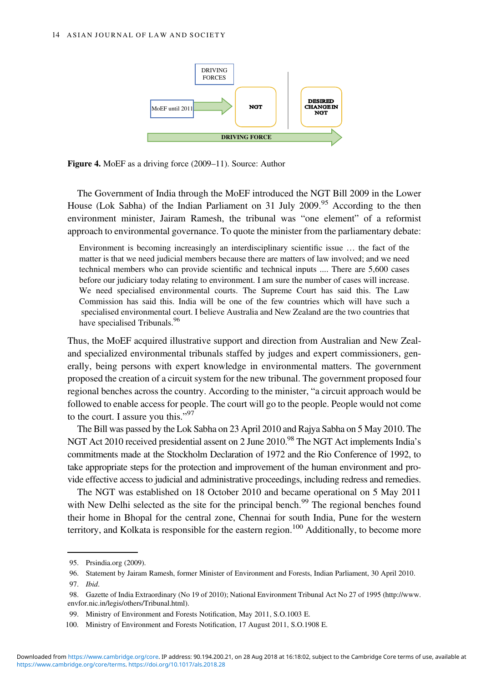<span id="page-13-0"></span>

Figure 4. MoEF as a driving force (2009–11). Source: Author

The Government of India through the MoEF introduced the NGT Bill 2009 in the Lower House (Lok Sabha) of the Indian Parliament on 31 July 2009.<sup>95</sup> According to the then environment minister, Jairam Ramesh, the tribunal was "one element" of a reformist approach to environmental governance. To quote the minister from the parliamentary debate:

Environment is becoming increasingly an interdisciplinary scientific issue … the fact of the matter is that we need judicial members because there are matters of law involved; and we need technical members who can provide scientific and technical inputs .... There are 5,600 cases before our judiciary today relating to environment. I am sure the number of cases will increase. We need specialised environmental courts. The Supreme Court has said this. The Law Commission has said this. India will be one of the few countries which will have such a specialised environmental court. I believe Australia and New Zealand are the two countries that have specialised Tribunals.<sup>96</sup>

Thus, the MoEF acquired illustrative support and direction from Australian and New Zealand specialized environmental tribunals staffed by judges and expert commissioners, generally, being persons with expert knowledge in environmental matters. The government proposed the creation of a circuit system for the new tribunal. The government proposed four regional benches across the country. According to the minister, "a circuit approach would be followed to enable access for people. The court will go to the people. People would not come to the court. I assure you this."<sup>97</sup>

The Bill was passed by the Lok Sabha on 23 April 2010 and Rajya Sabha on 5 May 2010. The NGT Act 2010 received presidential assent on 2 June 2010.<sup>98</sup> The NGT Act implements India's commitments made at the Stockholm Declaration of 1972 and the Rio Conference of 1992, to take appropriate steps for the protection and improvement of the human environment and provide effective access to judicial and administrative proceedings, including redress and remedies.

The NGT was established on 18 October 2010 and became operational on 5 May 2011 with New Delhi selected as the site for the principal bench.<sup>99</sup> The regional benches found their home in Bhopal for the central zone, Chennai for south India, Pune for the western territory, and Kolkata is responsible for the eastern region.<sup>100</sup> Additionally, to become more

<sup>95.</sup> Prsindia.org ([2009](#page-40-0)).

<sup>96.</sup> Statement by Jairam Ramesh, former Minister of Environment and Forests, Indian Parliament, 30 April 2010. 97. Ibid.

<sup>98.</sup> Gazette of India Extraordinary (No 19 of 2010); National Environment Tribunal Act No 27 of 1995 [\(http://www.](http://www.envfor.nic.in/legis/others/Tribunal.html) [envfor.nic.in/legis/others/Tribunal.html\)](http://www.envfor.nic.in/legis/others/Tribunal.html).

<sup>99.</sup> Ministry of Environment and Forests Notification, May 2011, S.O.1003 E.

<sup>100.</sup> Ministry of Environment and Forests Notification, 17 August 2011, S.O.1908 E.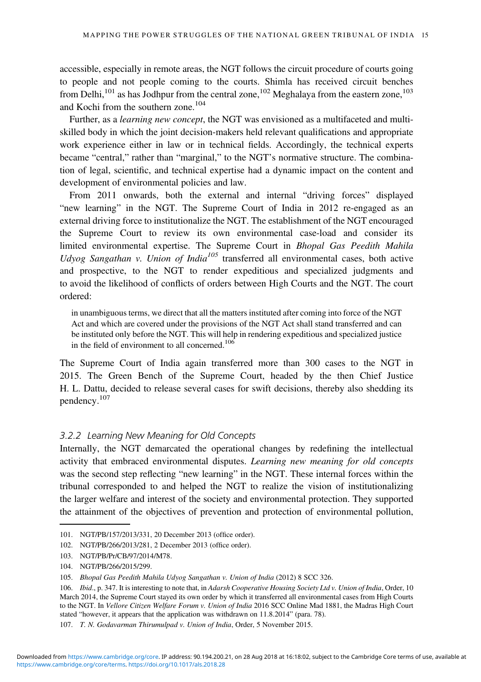accessible, especially in remote areas, the NGT follows the circuit procedure of courts going to people and not people coming to the courts. Shimla has received circuit benches from Delhi,<sup>101</sup> as has Jodhpur from the central zone,<sup>102</sup> Meghalaya from the eastern zone,<sup>103</sup> and Kochi from the southern zone.<sup>104</sup>

Further, as a *learning new concept*, the NGT was envisioned as a multifaceted and multiskilled body in which the joint decision-makers held relevant qualifications and appropriate work experience either in law or in technical fields. Accordingly, the technical experts became "central," rather than "marginal," to the NGT's normative structure. The combination of legal, scientific, and technical expertise had a dynamic impact on the content and development of environmental policies and law.

From 2011 onwards, both the external and internal "driving forces" displayed "new learning" in the NGT. The Supreme Court of India in 2012 re-engaged as an external driving force to institutionalize the NGT. The establishment of the NGT encouraged the Supreme Court to review its own environmental case-load and consider its limited environmental expertise. The Supreme Court in Bhopal Gas Peedith Mahila Udyog Sangathan v. Union of India<sup>105</sup> transferred all environmental cases, both active and prospective, to the NGT to render expeditious and specialized judgments and to avoid the likelihood of conflicts of orders between High Courts and the NGT. The court ordered:

in unambiguous terms, we direct that all the matters instituted after coming into force of the NGT Act and which are covered under the provisions of the NGT Act shall stand transferred and can be instituted only before the NGT. This will help in rendering expeditious and specialized justice in the field of environment to all concerned.<sup>106</sup>

The Supreme Court of India again transferred more than 300 cases to the NGT in 2015. The Green Bench of the Supreme Court, headed by the then Chief Justice H. L. Dattu, decided to release several cases for swift decisions, thereby also shedding its pendency.<sup>107</sup>

# 3.2.2 Learning New Meaning for Old Concepts

Internally, the NGT demarcated the operational changes by redefining the intellectual activity that embraced environmental disputes. Learning new meaning for old concepts was the second step reflecting "new learning" in the NGT. These internal forces within the tribunal corresponded to and helped the NGT to realize the vision of institutionalizing the larger welfare and interest of the society and environmental protection. They supported the attainment of the objectives of prevention and protection of environmental pollution,

<sup>101.</sup> NGT/PB/157/2013/331, 20 December 2013 (office order).

<sup>102.</sup> NGT/PB/266/2013/281, 2 December 2013 (office order).

<sup>103.</sup> NGT/PB/Pr/CB/97/2014/M78.

<sup>104.</sup> NGT/PB/266/2015/299.

<sup>105.</sup> Bhopal Gas Peedith Mahila Udyog Sangathan v. Union of India (2012) 8 SCC 326.

<sup>106.</sup> Ibid., p. 347. It is interesting to note that, in Adarsh Cooperative Housing Society Ltd v. Union of India, Order, 10 March 2014, the Supreme Court stayed its own order by which it transferred all environmental cases from High Courts to the NGT. In Vellore Citizen Welfare Forum v. Union of India 2016 SCC Online Mad 1881, the Madras High Court stated "however, it appears that the application was withdrawn on 11.8.2014" (para. 78).

<sup>107.</sup> T. N. Godavarman Thirumulpad v. Union of India, Order, 5 November 2015.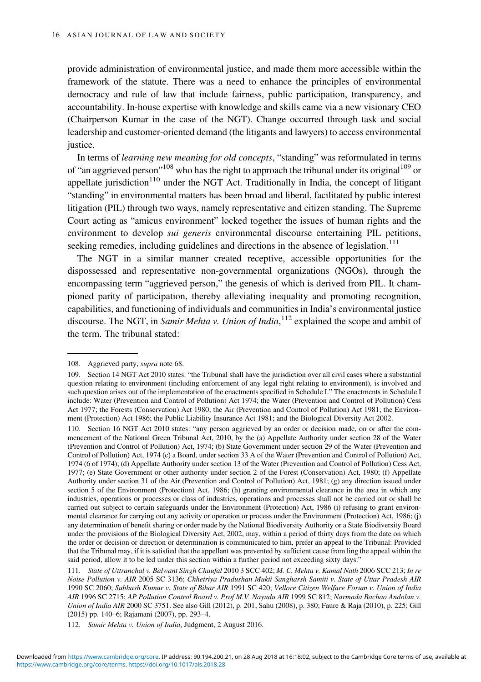provide administration of environmental justice, and made them more accessible within the framework of the statute. There was a need to enhance the principles of environmental democracy and rule of law that include fairness, public participation, transparency, and accountability. In-house expertise with knowledge and skills came via a new visionary CEO (Chairperson Kumar in the case of the NGT). Change occurred through task and social leadership and customer-oriented demand (the litigants and lawyers) to access environmental justice.

In terms of *learning new meaning for old concepts*, "standing" was reformulated in terms of "an aggrieved person"<sup>108</sup> who has the right to approach the tribunal under its original<sup>109</sup> or appellate jurisdiction<sup>110</sup> under the NGT Act. Traditionally in India, the concept of litigant "standing" in environmental matters has been broad and liberal, facilitated by public interest litigation (PIL) through two ways, namely representative and citizen standing. The Supreme Court acting as "amicus environment" locked together the issues of human rights and the environment to develop *sui generis* environmental discourse entertaining PIL petitions, seeking remedies, including guidelines and directions in the absence of legislation.<sup>111</sup>

The NGT in a similar manner created receptive, accessible opportunities for the dispossessed and representative non-governmental organizations (NGOs), through the encompassing term "aggrieved person," the genesis of which is derived from PIL. It championed parity of participation, thereby alleviating inequality and promoting recognition, capabilities, and functioning of individuals and communities in India's environmental justice discourse. The NGT, in *Samir Mehta v. Union of India*,  $112$  explained the scope and ambit of the term. The tribunal stated:

<sup>108.</sup> Aggrieved party, supra note 68.

<sup>109.</sup> Section 14 NGT Act 2010 states: "the Tribunal shall have the jurisdiction over all civil cases where a substantial question relating to environment (including enforcement of any legal right relating to environment), is involved and such question arises out of the implementation of the enactments specified in Schedule I." The enactments in Schedule I include: Water (Prevention and Control of Pollution) Act 1974; the Water (Prevention and Control of Pollution) Cess Act 1977; the Forests (Conservation) Act 1980; the Air (Prevention and Control of Pollution) Act 1981; the Environment (Protection) Act 1986; the Public Liability Insurance Act 1981; and the Biological Diversity Act 2002.

<sup>110.</sup> Section 16 NGT Act 2010 states: "any person aggrieved by an order or decision made, on or after the commencement of the National Green Tribunal Act, 2010, by the (a) Appellate Authority under section 28 of the Water (Prevention and Control of Pollution) Act, 1974; (b) State Government under section 29 of the Water (Prevention and Control of Pollution) Act, 1974 (c) a Board, under section 33 A of the Water (Prevention and Control of Pollution) Act, 1974 (6 of 1974); (d) Appellate Authority under section 13 of the Water (Prevention and Control of Pollution) Cess Act, 1977; (e) State Government or other authority under section 2 of the Forest (Conservation) Act, 1980; (f) Appellate Authority under section 31 of the Air (Prevention and Control of Pollution) Act, 1981; (g) any direction issued under section 5 of the Environment (Protection) Act, 1986; (h) granting environmental clearance in the area in which any industries, operations or processes or class of industries, operations and processes shall not be carried out or shall be carried out subject to certain safeguards under the Environment (Protection) Act, 1986 (i) refusing to grant environmental clearance for carrying out any activity or operation or process under the Environment (Protection) Act, 1986; (j) any determination of benefit sharing or order made by the National Biodiversity Authority or a State Biodiversity Board under the provisions of the Biological Diversity Act, 2002, may, within a period of thirty days from the date on which the order or decision or direction or determination is communicated to him, prefer an appeal to the Tribunal: Provided that the Tribunal may, if it is satisfied that the appellant was prevented by sufficient cause from ling the appeal within the said period, allow it to be led under this section within a further period not exceeding sixty days."

<sup>111.</sup> State of Uttranchal v. Balwant Singh Chaufal 2010 3 SCC 402; M. C. Mehta v. Kamal Nath 2006 SCC 213; In re Noise Pollution v. AIR 2005 SC 3136; Chhetriya Pradushan Mukti Sangharsh Samiti v. State of Uttar Pradesh AIR 1990 SC 2060; Subhash Kumar v. State of Bihar AIR 1991 SC 420; Vellore Citizen Welfare Forum v. Union of India AIR 1996 SC 2715; AP Pollution Control Board v. Prof M.V. Nayudu AIR 1999 SC 812; Narmada Bachao Andolan v. Union of India AIR 2000 SC 3751. See also Gill ([2012](#page-37-0)), p. 201; Sahu [\(2008\)](#page-40-0), p. 380; Faure & Raja [\(2010\)](#page-37-0), p. 225; Gill ([2015](#page-37-0)) pp. 140–6; Rajamani ([2007](#page-40-0)), pp. 293–4.

<sup>112.</sup> Samir Mehta v. Union of India, Judgment, 2 August 2016.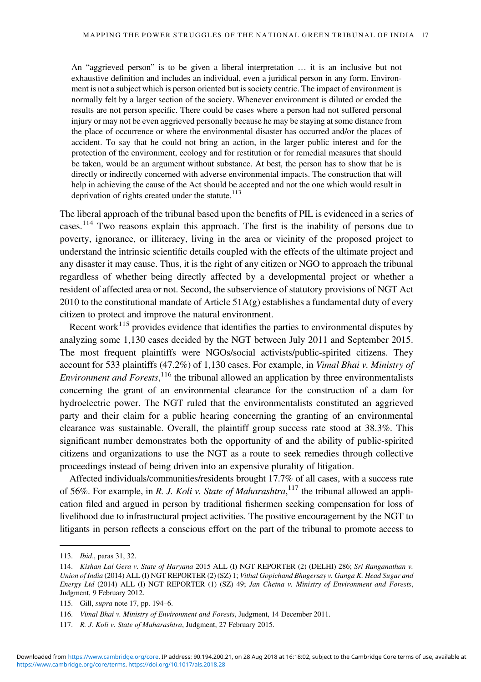An "aggrieved person" is to be given a liberal interpretation … it is an inclusive but not exhaustive definition and includes an individual, even a juridical person in any form. Environment is not a subject which is person oriented but is society centric. The impact of environment is normally felt by a larger section of the society. Whenever environment is diluted or eroded the results are not person specific. There could be cases where a person had not suffered personal injury or may not be even aggrieved personally because he may be staying at some distance from the place of occurrence or where the environmental disaster has occurred and/or the places of accident. To say that he could not bring an action, in the larger public interest and for the protection of the environment, ecology and for restitution or for remedial measures that should be taken, would be an argument without substance. At best, the person has to show that he is directly or indirectly concerned with adverse environmental impacts. The construction that will help in achieving the cause of the Act should be accepted and not the one which would result in deprivation of rights created under the statute.<sup>113</sup>

The liberal approach of the tribunal based upon the benefits of PIL is evidenced in a series of cases.<sup>114</sup> Two reasons explain this approach. The first is the inability of persons due to poverty, ignorance, or illiteracy, living in the area or vicinity of the proposed project to understand the intrinsic scientific details coupled with the effects of the ultimate project and any disaster it may cause. Thus, it is the right of any citizen or NGO to approach the tribunal regardless of whether being directly affected by a developmental project or whether a resident of affected area or not. Second, the subservience of statutory provisions of NGT Act 2010 to the constitutional mandate of Article 51A(g) establishes a fundamental duty of every citizen to protect and improve the natural environment.

Recent work $115$  provides evidence that identifies the parties to environmental disputes by analyzing some 1,130 cases decided by the NGT between July 2011 and September 2015. The most frequent plaintiffs were NGOs/social activists/public-spirited citizens. They account for 533 plaintiffs (47.2%) of 1,130 cases. For example, in Vimal Bhai v. Ministry of Environment and Forests,<sup>116</sup> the tribunal allowed an application by three environmentalists concerning the grant of an environmental clearance for the construction of a dam for hydroelectric power. The NGT ruled that the environmentalists constituted an aggrieved party and their claim for a public hearing concerning the granting of an environmental clearance was sustainable. Overall, the plaintiff group success rate stood at 38.3%. This significant number demonstrates both the opportunity of and the ability of public-spirited citizens and organizations to use the NGT as a route to seek remedies through collective proceedings instead of being driven into an expensive plurality of litigation.

Affected individuals/communities/residents brought 17.7% of all cases, with a success rate of 56%. For example, in R. J. Koli v. State of Maharashtra, <sup>117</sup> the tribunal allowed an application filed and argued in person by traditional fishermen seeking compensation for loss of livelihood due to infrastructural project activities. The positive encouragement by the NGT to litigants in person reflects a conscious effort on the part of the tribunal to promote access to

<sup>113.</sup> Ibid., paras 31, 32.

<sup>114.</sup> Kishan Lal Gera v. State of Haryana 2015 ALL (I) NGT REPORTER (2) (DELHI) 286; Sri Ranganathan v. Union of India (2014) ALL (I) NGT REPORTER (2) (SZ) 1; Vithal Gopichand Bhugersay v. Ganga K. Head Sugar and Energy Ltd (2014) ALL (I) NGT REPORTER (1) (SZ) 49; Jan Chetna v. Ministry of Environment and Forests, Judgment, 9 February 2012.

<sup>115.</sup> Gill, supra note 17, pp. 194–6.

<sup>116.</sup> Vimal Bhai v. Ministry of Environment and Forests, Judgment, 14 December 2011.

<sup>117.</sup> R. J. Koli v. State of Maharashtra, Judgment, 27 February 2015.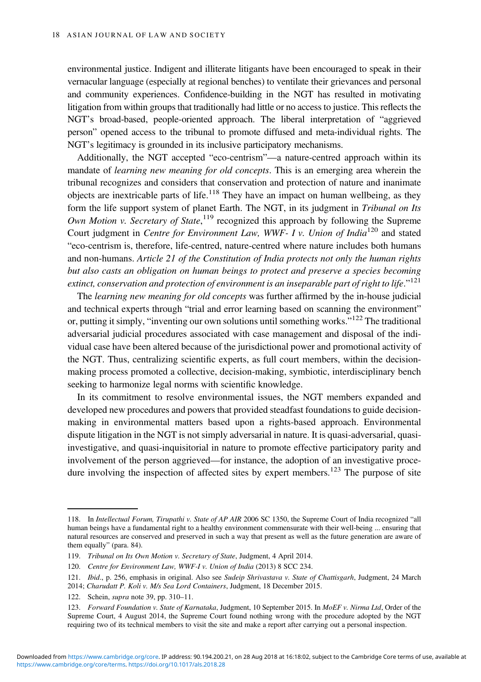environmental justice. Indigent and illiterate litigants have been encouraged to speak in their vernacular language (especially at regional benches) to ventilate their grievances and personal and community experiences. Confidence-building in the NGT has resulted in motivating litigation from within groups that traditionally had little or no access to justice. This reflects the NGT's broad-based, people-oriented approach. The liberal interpretation of "aggrieved person" opened access to the tribunal to promote diffused and meta-individual rights. The NGT's legitimacy is grounded in its inclusive participatory mechanisms.

Additionally, the NGT accepted "eco-centrism"—a nature-centred approach within its mandate of *learning new meaning for old concepts*. This is an emerging area wherein the tribunal recognizes and considers that conservation and protection of nature and inanimate objects are inextricable parts of life.<sup>118</sup> They have an impact on human wellbeing, as they form the life support system of planet Earth. The NGT, in its judgment in Tribunal on Its Own Motion v. Secretary of State,  $119$  recognized this approach by following the Supreme Court judgment in Centre for Environment Law, WWF- I v. Union of India<sup>120</sup> and stated "eco-centrism is, therefore, life-centred, nature-centred where nature includes both humans and non-humans. Article 21 of the Constitution of India protects not only the human rights but also casts an obligation on human beings to protect and preserve a species becoming extinct, conservation and protection of environment is an inseparable part of right to life." <sup>121</sup>

The *learning new meaning for old concepts* was further affirmed by the in-house judicial and technical experts through "trial and error learning based on scanning the environment" or, putting it simply, "inventing our own solutions until something works."<sup>122</sup> The traditional adversarial judicial procedures associated with case management and disposal of the individual case have been altered because of the jurisdictional power and promotional activity of the NGT. Thus, centralizing scientific experts, as full court members, within the decisionmaking process promoted a collective, decision-making, symbiotic, interdisciplinary bench seeking to harmonize legal norms with scientific knowledge.

In its commitment to resolve environmental issues, the NGT members expanded and developed new procedures and powers that provided steadfast foundations to guide decisionmaking in environmental matters based upon a rights-based approach. Environmental dispute litigation in the NGT is not simply adversarial in nature. It is quasi-adversarial, quasiinvestigative, and quasi-inquisitorial in nature to promote effective participatory parity and involvement of the person aggrieved—for instance, the adoption of an investigative procedure involving the inspection of affected sites by expert members.<sup>123</sup> The purpose of site

<sup>118.</sup> In Intellectual Forum, Tirupathi v. State of AP AIR 2006 SC 1350, the Supreme Court of India recognized "all human beings have a fundamental right to a healthy environment commensurate with their well-being ... ensuring that natural resources are conserved and preserved in such a way that present as well as the future generation are aware of them equally" (para. 84).

<sup>119.</sup> Tribunal on Its Own Motion v. Secretary of State, Judgment, 4 April 2014.

<sup>120.</sup> Centre for Environment Law, WWF-I v. Union of India (2013) 8 SCC 234.

<sup>121.</sup> Ibid., p. 256, emphasis in original. Also see Sudeip Shrivastava v. State of Chattisgarh, Judgment, 24 March 2014; Charudatt P. Koli v. M/s Sea Lord Containers, Judgment, 18 December 2015.

<sup>122.</sup> Schein, supra note 39, pp. 310–11.

<sup>123.</sup> Forward Foundation v. State of Karnataka, Judgment, 10 September 2015. In MoEF v. Nirma Ltd, Order of the Supreme Court, 4 August 2014, the Supreme Court found nothing wrong with the procedure adopted by the NGT requiring two of its technical members to visit the site and make a report after carrying out a personal inspection.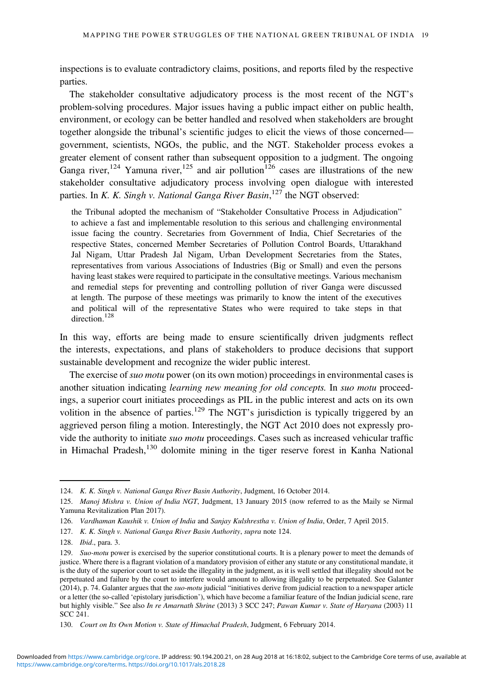inspections is to evaluate contradictory claims, positions, and reports filed by the respective parties.

The stakeholder consultative adjudicatory process is the most recent of the NGT's problem-solving procedures. Major issues having a public impact either on public health, environment, or ecology can be better handled and resolved when stakeholders are brought together alongside the tribunal's scientific judges to elicit the views of those concerned government, scientists, NGOs, the public, and the NGT. Stakeholder process evokes a greater element of consent rather than subsequent opposition to a judgment. The ongoing Ganga river,<sup>124</sup> Yamuna river,<sup>125</sup> and air pollution<sup>126</sup> cases are illustrations of the new stakeholder consultative adjudicatory process involving open dialogue with interested parties. In *K. K. Singh v. National Ganga River Basin*,<sup>127</sup> the NGT observed:

the Tribunal adopted the mechanism of "Stakeholder Consultative Process in Adjudication" to achieve a fast and implementable resolution to this serious and challenging environmental issue facing the country. Secretaries from Government of India, Chief Secretaries of the respective States, concerned Member Secretaries of Pollution Control Boards, Uttarakhand Jal Nigam, Uttar Pradesh Jal Nigam, Urban Development Secretaries from the States, representatives from various Associations of Industries (Big or Small) and even the persons having least stakes were required to participate in the consultative meetings. Various mechanism and remedial steps for preventing and controlling pollution of river Ganga were discussed at length. The purpose of these meetings was primarily to know the intent of the executives and political will of the representative States who were required to take steps in that direction.<sup>128</sup>

In this way, efforts are being made to ensure scientifically driven judgments reflect the interests, expectations, and plans of stakeholders to produce decisions that support sustainable development and recognize the wider public interest.

The exercise of *suo motu* power (on its own motion) proceedings in environmental cases is another situation indicating *learning new meaning for old concepts*. In *suo motu* proceedings, a superior court initiates proceedings as PIL in the public interest and acts on its own volition in the absence of parties.<sup>129</sup> The NGT's jurisdiction is typically triggered by an aggrieved person filing a motion. Interestingly, the NGT Act 2010 does not expressly provide the authority to initiate suo motu proceedings. Cases such as increased vehicular traffic in Himachal Pradesh.<sup>130</sup> dolomite mining in the tiger reserve forest in Kanha National

<sup>124.</sup> K. K. Singh v. National Ganga River Basin Authority, Judgment, 16 October 2014.

<sup>125.</sup> Manoj Mishra v. Union of India NGT, Judgment, 13 January 2015 (now referred to as the Maily se Nirmal Yamuna Revitalization Plan 2017).

<sup>126.</sup> Vardhaman Kaushik v. Union of India and Sanjay Kulshrestha v. Union of India, Order, 7 April 2015.

<sup>127.</sup> K. K. Singh v. National Ganga River Basin Authority, supra note 124.

<sup>128.</sup> Ibid., para. 3.

<sup>129.</sup> Suo-motu power is exercised by the superior constitutional courts. It is a plenary power to meet the demands of justice. Where there is a flagrant violation of a mandatory provision of either any statute or any constitutional mandate, it is the duty of the superior court to set aside the illegality in the judgment, as it is well settled that illegality should not be perpetuated and failure by the court to interfere would amount to allowing illegality to be perpetuated. See Galanter ([2014](#page-37-0)), p. 74. Galanter argues that the suo-motu judicial "initiatives derive from judicial reaction to a newspaper article or a letter (the so-called 'epistolary jurisdiction'), which have become a familiar feature of the Indian judicial scene, rare but highly visible." See also In re Amarnath Shrine (2013) 3 SCC 247; Pawan Kumar v. State of Haryana (2003) 11 SCC 241.

<sup>130.</sup> Court on Its Own Motion v. State of Himachal Pradesh, Judgment, 6 February 2014.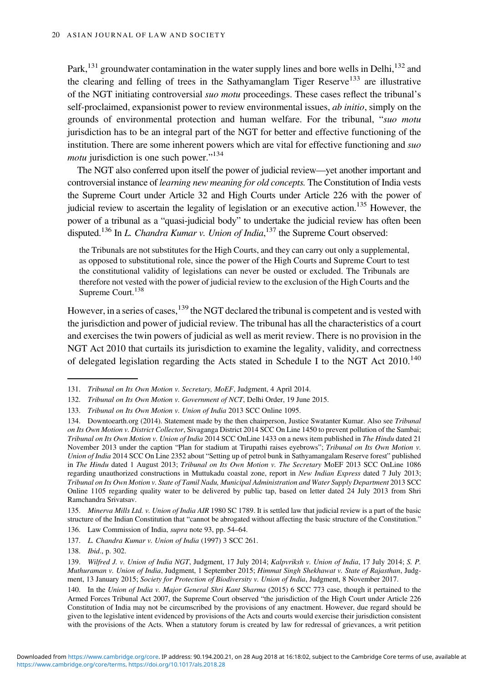Park,  $^{131}$  groundwater contamination in the water supply lines and bore wells in Delhi,  $^{132}$  and the clearing and felling of trees in the Sathyamanglam Tiger Reserve<sup>133</sup> are illustrative of the NGT initiating controversial suo motu proceedings. These cases reflect the tribunal's self-proclaimed, expansionist power to review environmental issues, *ab initio*, simply on the grounds of environmental protection and human welfare. For the tribunal, "suo motu jurisdiction has to be an integral part of the NGT for better and effective functioning of the institution. There are some inherent powers which are vital for effective functioning and *suo* motu jurisdiction is one such power."<sup>134</sup>

The NGT also conferred upon itself the power of judicial review—yet another important and controversial instance of *learning new meaning for old concepts*. The Constitution of India vests the Supreme Court under Article 32 and High Courts under Article 226 with the power of judicial review to ascertain the legality of legislation or an executive action.<sup>135</sup> However, the power of a tribunal as a "quasi-judicial body" to undertake the judicial review has often been disputed.<sup>136</sup> In *L. Chandra Kumar v. Union of India*,<sup>137</sup> the Supreme Court observed:

the Tribunals are not substitutes for the High Courts, and they can carry out only a supplemental, as opposed to substitutional role, since the power of the High Courts and Supreme Court to test the constitutional validity of legislations can never be ousted or excluded. The Tribunals are therefore not vested with the power of judicial review to the exclusion of the High Courts and the Supreme Court.<sup>138</sup>

However, in a series of cases,  $139$  the NGT declared the tribunal is competent and is vested with the jurisdiction and power of judicial review. The tribunal has all the characteristics of a court and exercises the twin powers of judicial as well as merit review. There is no provision in the NGT Act 2010 that curtails its jurisdiction to examine the legality, validity, and correctness of delegated legislation regarding the Acts stated in Schedule I to the NGT Act 2010.<sup>140</sup>

135. Minerva Mills Ltd. v. Union of India AIR 1980 SC 1789. It is settled law that judicial review is a part of the basic structure of the Indian Constitution that "cannot be abrogated without affecting the basic structure of the Constitution."

<sup>131.</sup> Tribunal on Its Own Motion v. Secretary, MoEF, Judgment, 4 April 2014.

<sup>132.</sup> Tribunal on Its Own Motion v. Government of NCT, Delhi Order, 19 June 2015.

<sup>133.</sup> Tribunal on Its Own Motion v. Union of India 2013 SCC Online 1095.

<sup>134.</sup> Downtoearth.org ([2014](#page-37-0)). Statement made by the then chairperson, Justice Swatanter Kumar. Also see Tribunal on Its Own Motion v. District Collector, Sivaganga District 2014 SCC On Line 1450 to prevent pollution of the Sambai; Tribunal on Its Own Motion v. Union of India 2014 SCC OnLine 1433 on a news item published in The Hindu dated 21 November 2013 under the caption "Plan for stadium at Tirupathi raises eyebrows"; Tribunal on Its Own Motion v. Union of India 2014 SCC On Line 2352 about "Setting up of petrol bunk in Sathyamangalam Reserve forest" published in The Hindu dated 1 August 2013; Tribunal on Its Own Motion v. The Secretary MoEF 2013 SCC OnLine 1086 regarding unauthorized constructions in Muttukadu coastal zone, report in New Indian Express dated 7 July 2013; Tribunal on Its Own Motion v. State of Tamil Nadu, Municipal Administration and Water Supply Department 2013 SCC Online 1105 regarding quality water to be delivered by public tap, based on letter dated 24 July 2013 from Shri Ramchandra Srivatsav.

<sup>136.</sup> Law Commission of India, supra note 93, pp. 54–64.

<sup>137.</sup> L. Chandra Kumar v. Union of India (1997) 3 SCC 261.

<sup>138.</sup> Ibid., p. 302.

<sup>139.</sup> Wilfred J. v. Union of India NGT, Judgment, 17 July 2014; Kalpvriksh v. Union of India, 17 July 2014; S. P. Muthuraman v. Union of India, Judgment, 1 September 2015; Himmat Singh Shekhawat v. State of Rajasthan, Judgment, 13 January 2015; Society for Protection of Biodiversity v. Union of India, Judgment, 8 November 2017.

<sup>140.</sup> In the Union of India v. Major General Shri Kant Sharma (2015) 6 SCC 773 case, though it pertained to the Armed Forces Tribunal Act 2007, the Supreme Court observed "the jurisdiction of the High Court under Article 226 Constitution of India may not be circumscribed by the provisions of any enactment. However, due regard should be given to the legislative intent evidenced by provisions of the Acts and courts would exercise their jurisdiction consistent with the provisions of the Acts. When a statutory forum is created by law for redressal of grievances, a writ petition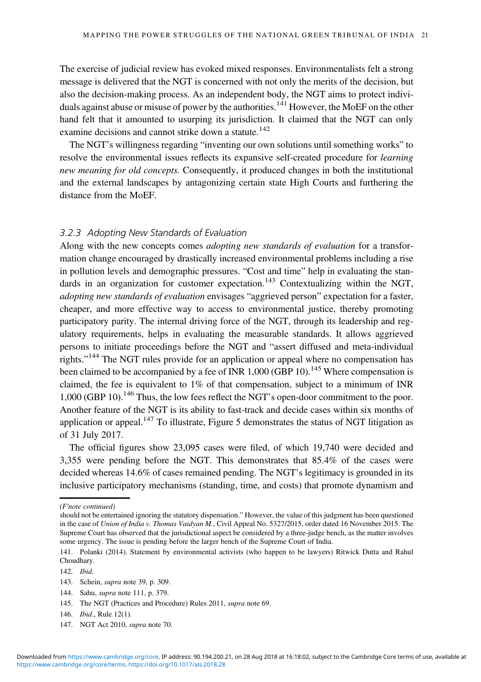The exercise of judicial review has evoked mixed responses. Environmentalists felt a strong message is delivered that the NGT is concerned with not only the merits of the decision, but also the decision-making process. As an independent body, the NGT aims to protect individuals against abuse or misuse of power by the authorities.<sup>141</sup> However, the MoEF on the other hand felt that it amounted to usurping its jurisdiction. It claimed that the NGT can only examine decisions and cannot strike down a statute.<sup>142</sup>

The NGT's willingness regarding "inventing our own solutions until something works" to resolve the environmental issues reflects its expansive self-created procedure for learning new meaning for old concepts. Consequently, it produced changes in both the institutional and the external landscapes by antagonizing certain state High Courts and furthering the distance from the MoEF.

### 3.2.3 Adopting New Standards of Evaluation

Along with the new concepts comes *adopting new standards of evaluation* for a transformation change encouraged by drastically increased environmental problems including a rise in pollution levels and demographic pressures. "Cost and time" help in evaluating the standards in an organization for customer expectation.<sup>143</sup> Contextualizing within the NGT, adopting new standards of evaluation envisages "aggrieved person" expectation for a faster, cheaper, and more effective way to access to environmental justice, thereby promoting participatory parity. The internal driving force of the NGT, through its leadership and regulatory requirements, helps in evaluating the measurable standards. It allows aggrieved persons to initiate proceedings before the NGT and "assert diffused and meta-individual rights."<sup>144</sup> The NGT rules provide for an application or appeal where no compensation has been claimed to be accompanied by a fee of INR 1,000 (GBP 10).<sup>145</sup> Where compensation is claimed, the fee is equivalent to  $1\%$  of that compensation, subject to a minimum of INR 1,000 (GBP 10).<sup>146</sup> Thus, the low fees reflect the NGT's open-door commitment to the poor. Another feature of the NGT is its ability to fast-track and decide cases within six months of application or appeal.<sup>147</sup> To illustrate, [Figure 5](#page-21-0) demonstrates the status of NGT litigation as of 31 July 2017.

The official figures show 23,095 cases were filed, of which 19,740 were decided and 3,355 were pending before the NGT. This demonstrates that 85.4% of the cases were decided whereas 14.6% of cases remained pending. The NGT's legitimacy is grounded in its inclusive participatory mechanisms (standing, time, and costs) that promote dynamism and

<sup>(</sup>F'note continued)

should not be entertained ignoring the statutory dispensation." However, the value of this judgment has been questioned in the case of Union of India v. Thomas Vaidyan M., Civil Appeal No. 5327/2015, order dated 16 November 2015. The Supreme Court has observed that the jurisdictional aspect be considered by a three-judge bench, as the matter involves some urgency. The issue is pending before the larger bench of the Supreme Court of India.

<sup>141.</sup> Polanki ([2014](#page-40-0)). Statement by environmental activists (who happen to be lawyers) Ritwick Dutta and Rahul Choudhary.

<sup>142.</sup> Ibid.

<sup>143.</sup> Schein, supra note 39, p. 309.

<sup>144.</sup> Sahu, supra note 111, p. 379.

<sup>145.</sup> The NGT (Practices and Procedure) Rules 2011, supra note 69.

<sup>146.</sup> Ibid., Rule 12(1).

<sup>147.</sup> NGT Act 2010, supra note 70.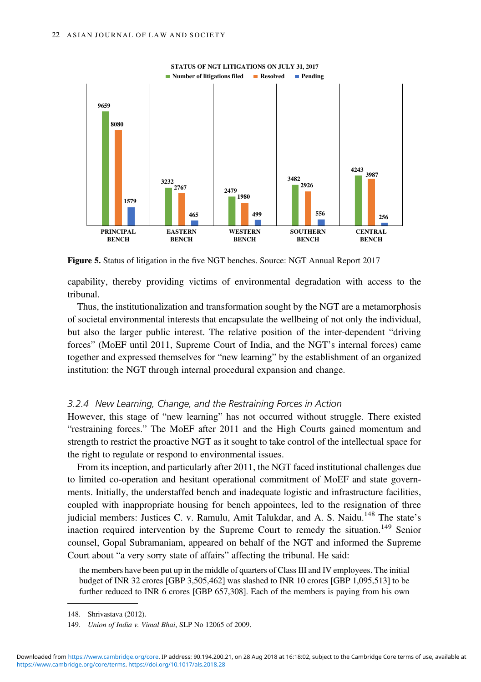<span id="page-21-0"></span>

Figure 5. Status of litigation in the five NGT benches. Source: NGT Annual Report 2017

capability, thereby providing victims of environmental degradation with access to the tribunal.

Thus, the institutionalization and transformation sought by the NGT are a metamorphosis of societal environmental interests that encapsulate the wellbeing of not only the individual, but also the larger public interest. The relative position of the inter-dependent "driving forces" (MoEF until 2011, Supreme Court of India, and the NGT's internal forces) came together and expressed themselves for "new learning" by the establishment of an organized institution: the NGT through internal procedural expansion and change.

# 3.2.4 New Learning, Change, and the Restraining Forces in Action

However, this stage of "new learning" has not occurred without struggle. There existed "restraining forces." The MoEF after 2011 and the High Courts gained momentum and strength to restrict the proactive NGT as it sought to take control of the intellectual space for the right to regulate or respond to environmental issues.

From its inception, and particularly after 2011, the NGT faced institutional challenges due to limited co-operation and hesitant operational commitment of MoEF and state governments. Initially, the understaffed bench and inadequate logistic and infrastructure facilities, coupled with inappropriate housing for bench appointees, led to the resignation of three judicial members: Justices C. v. Ramulu, Amit Talukdar, and A. S. Naidu.<sup>148</sup> The state's inaction required intervention by the Supreme Court to remedy the situation.<sup>149</sup> Senior counsel, Gopal Subramaniam, appeared on behalf of the NGT and informed the Supreme Court about "a very sorry state of affairs" affecting the tribunal. He said:

the members have been put up in the middle of quarters of Class III and IV employees. The initial budget of INR 32 crores [GBP 3,505,462] was slashed to INR 10 crores [GBP 1,095,513] to be further reduced to INR 6 crores [GBP 657,308]. Each of the members is paying from his own

<sup>148.</sup> Shrivastava [\(2012\)](#page-41-0).

<sup>149.</sup> Union of India v. Vimal Bhai, SLP No 12065 of 2009.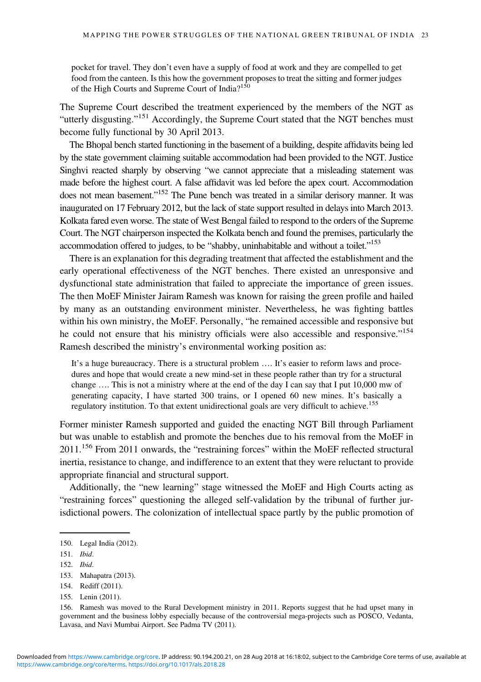pocket for travel. They don't even have a supply of food at work and they are compelled to get food from the canteen. Is this how the government proposes to treat the sitting and former judges of the High Courts and Supreme Court of India?<sup>150</sup>

The Supreme Court described the treatment experienced by the members of the NGT as "utterly disgusting."<sup>151</sup> Accordingly, the Supreme Court stated that the NGT benches must become fully functional by 30 April 2013.

The Bhopal bench started functioning in the basement of a building, despite affidavits being led by the state government claiming suitable accommodation had been provided to the NGT. Justice Singhvi reacted sharply by observing "we cannot appreciate that a misleading statement was made before the highest court. A false affidavit was led before the apex court. Accommodation does not mean basement."<sup>152</sup> The Pune bench was treated in a similar derisory manner. It was inaugurated on 17 February 2012, but the lack of state support resulted in delays into March 2013. Kolkata fared even worse. The state of West Bengal failed to respond to the orders of the Supreme Court. The NGT chairperson inspected the Kolkata bench and found the premises, particularly the accommodation offered to judges, to be "shabby, uninhabitable and without a toilet."<sup>153</sup>

There is an explanation for this degrading treatment that affected the establishment and the early operational effectiveness of the NGT benches. There existed an unresponsive and dysfunctional state administration that failed to appreciate the importance of green issues. The then MoEF Minister Jairam Ramesh was known for raising the green profile and hailed by many as an outstanding environment minister. Nevertheless, he was fighting battles within his own ministry, the MoEF. Personally, "he remained accessible and responsive but he could not ensure that his ministry officials were also accessible and responsive." 154 Ramesh described the ministry's environmental working position as:

It's a huge bureaucracy. There is a structural problem …. It's easier to reform laws and procedures and hope that would create a new mind-set in these people rather than try for a structural change …. This is not a ministry where at the end of the day I can say that I put 10,000 mw of generating capacity, I have started 300 trains, or I opened 60 new mines. It's basically a regulatory institution. To that extent unidirectional goals are very difficult to achieve.<sup>155</sup>

Former minister Ramesh supported and guided the enacting NGT Bill through Parliament but was unable to establish and promote the benches due to his removal from the MoEF in 2011.<sup>156</sup> From 2011 onwards, the "restraining forces" within the MoEF reflected structural inertia, resistance to change, and indifference to an extent that they were reluctant to provide appropriate financial and structural support.

Additionally, the "new learning" stage witnessed the MoEF and High Courts acting as "restraining forces" questioning the alleged self-validation by the tribunal of further jurisdictional powers. The colonization of intellectual space partly by the public promotion of

<sup>150.</sup> Legal India ([2012](#page-39-0)).

<sup>151.</sup> Ibid.

<sup>152.</sup> Ibid.

<sup>153.</sup> Mahapatra [\(2013\)](#page-39-0).

<sup>154.</sup> Rediff [\(2011\)](#page-40-0).

<sup>155.</sup> Lenin [\(2011\)](#page-39-0).

<sup>156.</sup> Ramesh was moved to the Rural Development ministry in 2011. Reports suggest that he had upset many in government and the business lobby especially because of the controversial mega-projects such as POSCO, Vedanta, Lavasa, and Navi Mumbai Airport. See Padma TV ([2011\)](#page-40-0).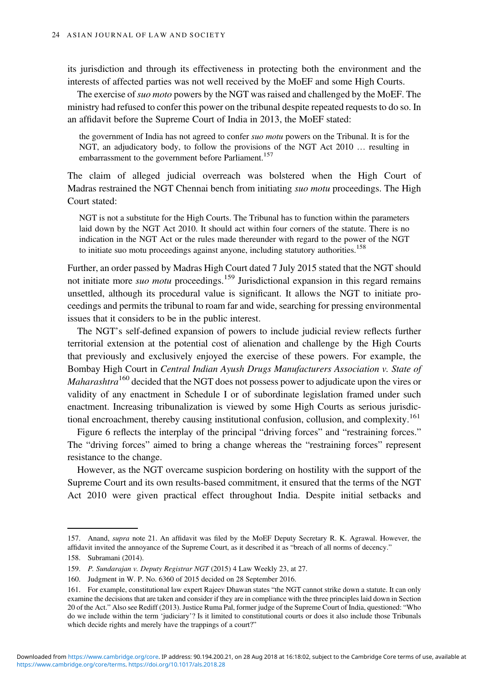its jurisdiction and through its effectiveness in protecting both the environment and the interests of affected parties was not well received by the MoEF and some High Courts.

The exercise of *suo moto* powers by the NGT was raised and challenged by the MoEF. The ministry had refused to confer this power on the tribunal despite repeated requests to do so. In an affidavit before the Supreme Court of India in 2013, the MoEF stated:

the government of India has not agreed to confer *suo motu* powers on the Tribunal. It is for the NGT, an adjudicatory body, to follow the provisions of the NGT Act 2010 … resulting in embarrassment to the government before Parliament.<sup>157</sup>

The claim of alleged judicial overreach was bolstered when the High Court of Madras restrained the NGT Chennai bench from initiating *suo motu* proceedings. The High Court stated:

NGT is not a substitute for the High Courts. The Tribunal has to function within the parameters laid down by the NGT Act 2010. It should act within four corners of the statute. There is no indication in the NGT Act or the rules made thereunder with regard to the power of the NGT to initiate suo motu proceedings against anyone, including statutory authorities.<sup>158</sup>

Further, an order passed by Madras High Court dated 7 July 2015 stated that the NGT should not initiate more *suo motu* proceedings.<sup>159</sup> Jurisdictional expansion in this regard remains unsettled, although its procedural value is significant. It allows the NGT to initiate proceedings and permits the tribunal to roam far and wide, searching for pressing environmental issues that it considers to be in the public interest.

The NGT's self-defined expansion of powers to include judicial review reflects further territorial extension at the potential cost of alienation and challenge by the High Courts that previously and exclusively enjoyed the exercise of these powers. For example, the Bombay High Court in Central Indian Ayush Drugs Manufacturers Association v. State of *Maharashtra*<sup>160</sup> decided that the NGT does not possess power to adjudicate upon the vires or validity of any enactment in Schedule I or of subordinate legislation framed under such enactment. Increasing tribunalization is viewed by some High Courts as serious jurisdictional encroachment, thereby causing institutional confusion, collusion, and complexity.<sup>161</sup>

[Figure 6](#page-24-0) reflects the interplay of the principal "driving forces" and "restraining forces." The "driving forces" aimed to bring a change whereas the "restraining forces" represent resistance to the change.

However, as the NGT overcame suspicion bordering on hostility with the support of the Supreme Court and its own results-based commitment, it ensured that the terms of the NGT Act 2010 were given practical effect throughout India. Despite initial setbacks and

<sup>157.</sup> Anand, supra note 21. An affidavit was filed by the MoEF Deputy Secretary R. K. Agrawal. However, the affidavit invited the annoyance of the Supreme Court, as it described it as "breach of all norms of decency."

<sup>158.</sup> Subramani ([2014](#page-41-0)).

<sup>159.</sup> P. Sundarajan v. Deputy Registrar NGT (2015) 4 Law Weekly 23, at 27.

<sup>160.</sup> Judgment in W. P. No. 6360 of 2015 decided on 28 September 2016.

<sup>161.</sup> For example, constitutional law expert Rajeev Dhawan states "the NGT cannot strike down a statute. It can only examine the decisions that are taken and consider if they are in compliance with the three principles laid down in Section 20 of the Act." Also see Rediff ([2013](#page-40-0)). Justice Ruma Pal, former judge of the Supreme Court of India, questioned: "Who do we include within the term 'judiciary'? Is it limited to constitutional courts or does it also include those Tribunals which decide rights and merely have the trappings of a court?"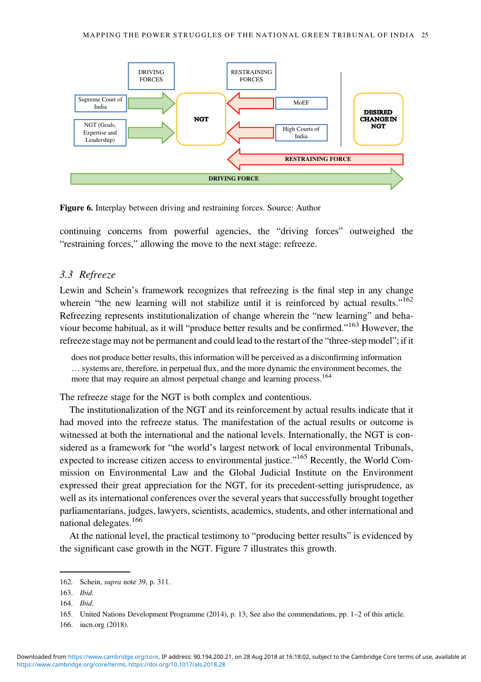<span id="page-24-0"></span>

Figure 6. Interplay between driving and restraining forces. Source: Author

continuing concerns from powerful agencies, the "driving forces" outweighed the "restraining forces," allowing the move to the next stage: refreeze.

# 3.3 Refreeze

Lewin and Schein's framework recognizes that refreezing is the final step in any change wherein "the new learning will not stabilize until it is reinforced by actual results."<sup>162</sup> Refreezing represents institutionalization of change wherein the "new learning" and behaviour become habitual, as it will "produce better results and be confirmed."<sup>163</sup> However, the refreeze stage may not be permanent and could lead to the restart of the "three-step model"; if it

does not produce better results, this information will be perceived as a disconfirming information … systems are, therefore, in perpetual flux, and the more dynamic the environment becomes, the more that may require an almost perpetual change and learning process.<sup>164</sup>

The refreeze stage for the NGT is both complex and contentious.

The institutionalization of the NGT and its reinforcement by actual results indicate that it had moved into the refreeze status. The manifestation of the actual results or outcome is witnessed at both the international and the national levels. Internationally, the NGT is considered as a framework for "the world's largest network of local environmental Tribunals, expected to increase citizen access to environmental justice."<sup>165</sup> Recently, the World Commission on Environmental Law and the Global Judicial Institute on the Environment expressed their great appreciation for the NGT, for its precedent-setting jurisprudence, as well as its international conferences over the several years that successfully brought together parliamentarians, judges, lawyers, scientists, academics, students, and other international and national delegates.<sup>166</sup>

At the national level, the practical testimony to "producing better results" is evidenced by the significant case growth in the NGT. [Figure 7](#page-25-0) illustrates this growth.

<sup>162.</sup> Schein, supra note 39, p. 311.

<sup>163.</sup> Ibid.

<sup>164.</sup> Ibid.

<sup>165.</sup> United Nations Development Programme [\(2014\)](#page-41-0), p. 13; See also the commendations, pp. 1–2 of this article.

<sup>166.</sup> iucn.org ([2018](#page-38-0)).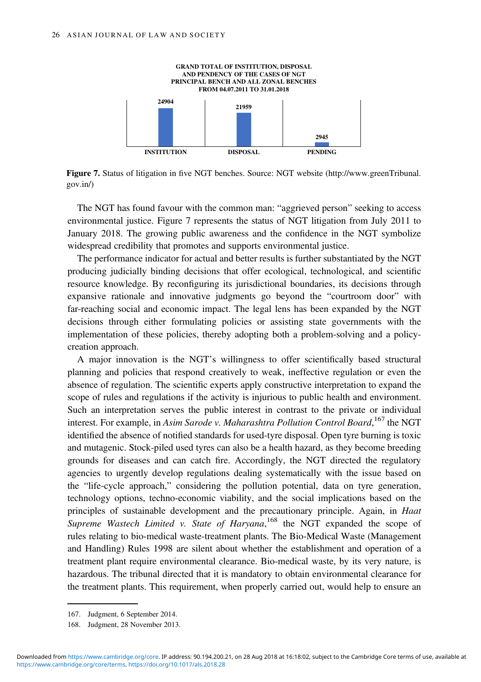<span id="page-25-0"></span>

Figure 7. Status of litigation in five NGT benches. Source: NGT website ([http://www.greenTribunal.](http://www.greenTribunal.gov.in/) [gov.in/](http://www.greenTribunal.gov.in/))

The NGT has found favour with the common man: "aggrieved person" seeking to access environmental justice. Figure 7 represents the status of NGT litigation from July 2011 to January 2018. The growing public awareness and the confidence in the NGT symbolize widespread credibility that promotes and supports environmental justice.

The performance indicator for actual and better results is further substantiated by the NGT producing judicially binding decisions that offer ecological, technological, and scientific resource knowledge. By reconfiguring its jurisdictional boundaries, its decisions through expansive rationale and innovative judgments go beyond the "courtroom door" with far-reaching social and economic impact. The legal lens has been expanded by the NGT decisions through either formulating policies or assisting state governments with the implementation of these policies, thereby adopting both a problem-solving and a policycreation approach.

A major innovation is the NGT's willingness to offer scientifically based structural planning and policies that respond creatively to weak, ineffective regulation or even the absence of regulation. The scientific experts apply constructive interpretation to expand the scope of rules and regulations if the activity is injurious to public health and environment. Such an interpretation serves the public interest in contrast to the private or individual interest. For example, in Asim Sarode v. Maharashtra Pollution Control Board, <sup>167</sup> the NGT identified the absence of notified standards for used-tyre disposal. Open tyre burning is toxic and mutagenic. Stock-piled used tyres can also be a health hazard, as they become breeding grounds for diseases and can catch fire. Accordingly, the NGT directed the regulatory agencies to urgently develop regulations dealing systematically with the issue based on the "life-cycle approach," considering the pollution potential, data on tyre generation, technology options, techno-economic viability, and the social implications based on the principles of sustainable development and the precautionary principle. Again, in Haat Supreme Wastech Limited v. State of Haryana, <sup>168</sup> the NGT expanded the scope of rules relating to bio-medical waste-treatment plants. The Bio-Medical Waste (Management and Handling) Rules 1998 are silent about whether the establishment and operation of a treatment plant require environmental clearance. Bio-medical waste, by its very nature, is hazardous. The tribunal directed that it is mandatory to obtain environmental clearance for the treatment plants. This requirement, when properly carried out, would help to ensure an

<sup>167.</sup> Judgment, 6 September 2014.

<sup>168.</sup> Judgment, 28 November 2013.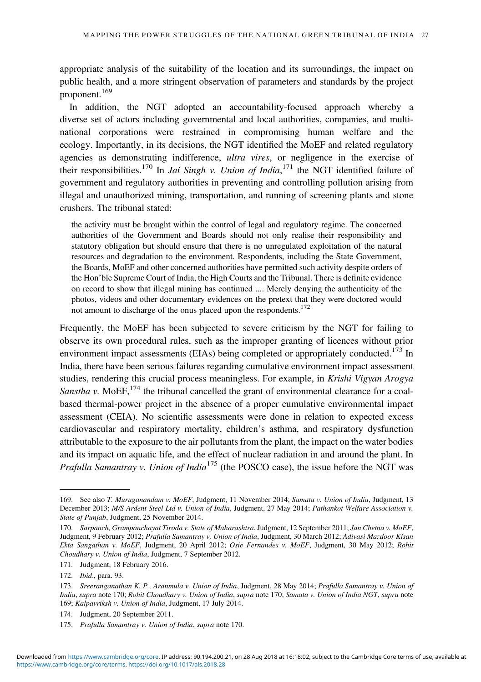appropriate analysis of the suitability of the location and its surroundings, the impact on public health, and a more stringent observation of parameters and standards by the project proponent.<sup>169</sup>

In addition, the NGT adopted an accountability-focused approach whereby a diverse set of actors including governmental and local authorities, companies, and multinational corporations were restrained in compromising human welfare and the ecology. Importantly, in its decisions, the NGT identified the MoEF and related regulatory agencies as demonstrating indifference, ultra vires, or negligence in the exercise of their responsibilities.<sup>170</sup> In *Jai Singh v. Union of India*,<sup>171</sup> the NGT identified failure of government and regulatory authorities in preventing and controlling pollution arising from illegal and unauthorized mining, transportation, and running of screening plants and stone crushers. The tribunal stated:

the activity must be brought within the control of legal and regulatory regime. The concerned authorities of the Government and Boards should not only realise their responsibility and statutory obligation but should ensure that there is no unregulated exploitation of the natural resources and degradation to the environment. Respondents, including the State Government, the Boards, MoEF and other concerned authorities have permitted such activity despite orders of the Hon'ble Supreme Court of India, the High Courts and the Tribunal. There is definite evidence on record to show that illegal mining has continued .... Merely denying the authenticity of the photos, videos and other documentary evidences on the pretext that they were doctored would not amount to discharge of the onus placed upon the respondents.<sup>172</sup>

Frequently, the MoEF has been subjected to severe criticism by the NGT for failing to observe its own procedural rules, such as the improper granting of licences without prior environment impact assessments (EIAs) being completed or appropriately conducted.<sup>173</sup> In India, there have been serious failures regarding cumulative environment impact assessment studies, rendering this crucial process meaningless. For example, in Krishi Vigyan Arogya Sanstha v. MoEF,  $^{174}$  the tribunal cancelled the grant of environmental clearance for a coalbased thermal-power project in the absence of a proper cumulative environmental impact assessment (CEIA). No scientific assessments were done in relation to expected excess cardiovascular and respiratory mortality, children's asthma, and respiratory dysfunction attributable to the exposure to the air pollutants from the plant, the impact on the water bodies and its impact on aquatic life, and the effect of nuclear radiation in and around the plant. In *Prafulla Samantray v. Union of India*<sup>175</sup> (the POSCO case), the issue before the NGT was

174. Judgment, 20 September 2011.

<sup>169.</sup> See also T. Muruganandam v. MoEF, Judgment, 11 November 2014; Samata v. Union of India, Judgment, 13 December 2013; M/S Ardent Steel Ltd v. Union of India, Judgment, 27 May 2014; Pathankot Welfare Association v. State of Punjab, Judgment, 25 November 2014.

<sup>170.</sup> Sarpanch, Grampanchayat Tiroda v. State of Maharashtra, Judgment, 12 September 2011; Jan Chetna v. MoEF, Judgment, 9 February 2012; Prafulla Samantray v. Union of India, Judgment, 30 March 2012; Adivasi Mazdoor Kisan Ekta Sangathan v. MoEF, Judgment, 20 April 2012; Osie Fernandes v. MoEF, Judgment, 30 May 2012; Rohit Choudhary v. Union of India, Judgment, 7 September 2012.

<sup>171.</sup> Judgment, 18 February 2016.

<sup>172.</sup> Ibid., para. 93.

<sup>173.</sup> Sreeranganathan K. P., Aranmula v. Union of India, Judgment, 28 May 2014; Prafulla Samantray v. Union of India, supra note 170; Rohit Choudhary v. Union of India, supra note 170; Samata v. Union of India NGT, supra note 169; Kalpavriksh v. Union of India, Judgment, 17 July 2014.

<sup>175.</sup> Prafulla Samantray v. Union of India, supra note 170.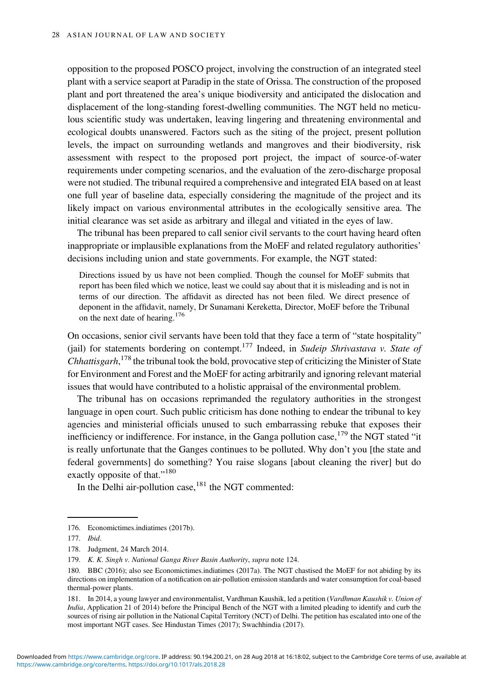opposition to the proposed POSCO project, involving the construction of an integrated steel plant with a service seaport at Paradip in the state of Orissa. The construction of the proposed plant and port threatened the area's unique biodiversity and anticipated the dislocation and displacement of the long-standing forest-dwelling communities. The NGT held no meticulous scientific study was undertaken, leaving lingering and threatening environmental and ecological doubts unanswered. Factors such as the siting of the project, present pollution levels, the impact on surrounding wetlands and mangroves and their biodiversity, risk assessment with respect to the proposed port project, the impact of source-of-water requirements under competing scenarios, and the evaluation of the zero-discharge proposal were not studied. The tribunal required a comprehensive and integrated EIA based on at least one full year of baseline data, especially considering the magnitude of the project and its likely impact on various environmental attributes in the ecologically sensitive area. The initial clearance was set aside as arbitrary and illegal and vitiated in the eyes of law.

The tribunal has been prepared to call senior civil servants to the court having heard often inappropriate or implausible explanations from the MoEF and related regulatory authorities' decisions including union and state governments. For example, the NGT stated:

Directions issued by us have not been complied. Though the counsel for MoEF submits that report has been filed which we notice, least we could say about that it is misleading and is not in terms of our direction. The affidavit as directed has not been filed. We direct presence of deponent in the affidavit, namely, Dr Sunamani Kereketta, Director, MoEF before the Tribunal on the next date of hearing.<sup>176</sup>

On occasions, senior civil servants have been told that they face a term of "state hospitality" (jail) for statements bordering on contempt.<sup>177</sup> Indeed, in Sudeip Shrivastava v. State of Chhattisgarh,<sup>178</sup> the tribunal took the bold, provocative step of criticizing the Minister of State for Environment and Forest and the MoEF for acting arbitrarily and ignoring relevant material issues that would have contributed to a holistic appraisal of the environmental problem.

The tribunal has on occasions reprimanded the regulatory authorities in the strongest language in open court. Such public criticism has done nothing to endear the tribunal to key agencies and ministerial officials unused to such embarrassing rebuke that exposes their inefficiency or indifference. For instance, in the Ganga pollution case,<sup>179</sup> the NGT stated "it is really unfortunate that the Ganges continues to be polluted. Why don't you [the state and federal governments] do something? You raise slogans [about cleaning the river] but do exactly opposite of that."<sup>180</sup>

In the Delhi air-pollution case,  $^{181}$  the NGT commented:

<sup>176.</sup> Economictimes.indiatimes ([2017b](#page-37-0)).

<sup>177.</sup> Ibid.

<sup>178.</sup> Judgment, 24 March 2014.

<sup>179.</sup> K. K. Singh v. National Ganga River Basin Authority, supra note 124.

<sup>180.</sup> BBC [\(2016\)](#page-36-0); also see Economictimes.indiatimes [\(2017a\)](#page-37-0). The NGT chastised the MoEF for not abiding by its directions on implementation of a notification on air-pollution emission standards and water consumption for coal-based thermal-power plants.

<sup>181.</sup> In 2014, a young lawyer and environmentalist, Vardhman Kaushik, led a petition (Vardhman Kaushik v. Union of India, Application 21 of 2014) before the Principal Bench of the NGT with a limited pleading to identify and curb the sources of rising air pollution in the National Capital Territory (NCT) of Delhi. The petition has escalated into one of the most important NGT cases. See Hindustan Times [\(2017\)](#page-38-0); Swachhindia ([2017](#page-41-0)).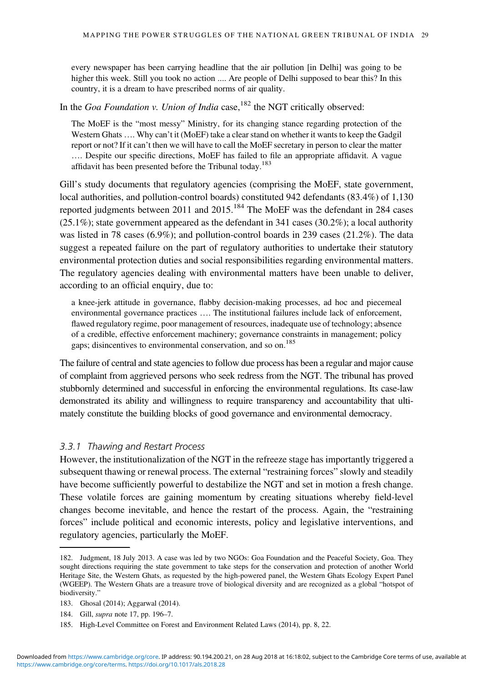every newspaper has been carrying headline that the air pollution [in Delhi] was going to be higher this week. Still you took no action .... Are people of Delhi supposed to bear this? In this country, it is a dream to have prescribed norms of air quality.

In the *Goa Foundation v. Union of India* case,  $^{182}$  the NGT critically observed:

The MoEF is the "most messy" Ministry, for its changing stance regarding protection of the Western Ghats .... Why can't it (MoEF) take a clear stand on whether it wants to keep the Gadgil report or not? If it can't then we will have to call the MoEF secretary in person to clear the matter …. Despite our specific directions, MoEF has failed to file an appropriate affidavit. A vague affidavit has been presented before the Tribunal today.183

Gill's study documents that regulatory agencies (comprising the MoEF, state government, local authorities, and pollution-control boards) constituted 942 defendants (83.4%) of 1,130 reported judgments between 2011 and 2015.<sup>184</sup> The MoEF was the defendant in 284 cases  $(25.1\%)$ ; state government appeared as the defendant in 341 cases  $(30.2\%)$ ; a local authority was listed in 78 cases (6.9%); and pollution-control boards in 239 cases (21.2%). The data suggest a repeated failure on the part of regulatory authorities to undertake their statutory environmental protection duties and social responsibilities regarding environmental matters. The regulatory agencies dealing with environmental matters have been unable to deliver, according to an official enquiry, due to:

a knee-jerk attitude in governance, flabby decision-making processes, ad hoc and piecemeal environmental governance practices …. The institutional failures include lack of enforcement, flawed regulatory regime, poor management of resources, inadequate use of technology; absence of a credible, effective enforcement machinery; governance constraints in management; policy gaps; disincentives to environmental conservation, and so on.<sup>185</sup>

The failure of central and state agencies to follow due process has been a regular and major cause of complaint from aggrieved persons who seek redress from the NGT. The tribunal has proved stubbornly determined and successful in enforcing the environmental regulations. Its case-law demonstrated its ability and willingness to require transparency and accountability that ultimately constitute the building blocks of good governance and environmental democracy.

#### 3.3.1 Thawing and Restart Process

However, the institutionalization of the NGT in the refreeze stage has importantly triggered a subsequent thawing or renewal process. The external "restraining forces" slowly and steadily have become sufficiently powerful to destabilize the NGT and set in motion a fresh change. These volatile forces are gaining momentum by creating situations whereby field-level changes become inevitable, and hence the restart of the process. Again, the "restraining forces" include political and economic interests, policy and legislative interventions, and regulatory agencies, particularly the MoEF.

<sup>182.</sup> Judgment, 18 July 2013. A case was led by two NGOs: Goa Foundation and the Peaceful Society, Goa. They sought directions requiring the state government to take steps for the conservation and protection of another World Heritage Site, the Western Ghats, as requested by the high-powered panel, the Western Ghats Ecology Expert Panel (WGEEP). The Western Ghats are a treasure trove of biological diversity and are recognized as a global "hotspot of biodiversity."

<sup>183.</sup> Ghosal [\(2014\)](#page-37-0); Aggarwal [\(2014\)](#page-36-0).

<sup>184.</sup> Gill, supra note 17, pp. 196–7.

<sup>185.</sup> High-Level Committee on Forest and Environment Related Laws [\(2014\)](#page-38-0), pp. 8, 22.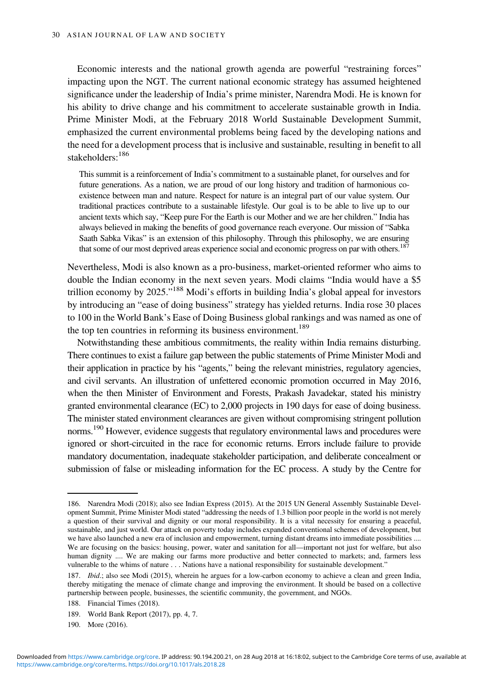Economic interests and the national growth agenda are powerful "restraining forces" impacting upon the NGT. The current national economic strategy has assumed heightened significance under the leadership of India's prime minister, Narendra Modi. He is known for his ability to drive change and his commitment to accelerate sustainable growth in India. Prime Minister Modi, at the February 2018 World Sustainable Development Summit, emphasized the current environmental problems being faced by the developing nations and the need for a development process that is inclusive and sustainable, resulting in benefit to all stakeholders:186

This summit is a reinforcement of India's commitment to a sustainable planet, for ourselves and for future generations. As a nation, we are proud of our long history and tradition of harmonious coexistence between man and nature. Respect for nature is an integral part of our value system. Our traditional practices contribute to a sustainable lifestyle. Our goal is to be able to live up to our ancient texts which say, "Keep pure For the Earth is our Mother and we are her children." India has always believed in making the benefits of good governance reach everyone. Our mission of "Sabka Saath Sabka Vikas" is an extension of this philosophy. Through this philosophy, we are ensuring that some of our most deprived areas experience social and economic progress on par with others.<sup>187</sup>

Nevertheless, Modi is also known as a pro-business, market-oriented reformer who aims to double the Indian economy in the next seven years. Modi claims "India would have a \$5 trillion economy by 2025."<sup>188</sup> Modi's efforts in building India's global appeal for investors by introducing an "ease of doing business" strategy has yielded returns. India rose 30 places to 100 in the World Bank's Ease of Doing Business global rankings and was named as one of the top ten countries in reforming its business environment.<sup>189</sup>

Notwithstanding these ambitious commitments, the reality within India remains disturbing. There continues to exist a failure gap between the public statements of Prime Minister Modi and their application in practice by his "agents," being the relevant ministries, regulatory agencies, and civil servants. An illustration of unfettered economic promotion occurred in May 2016, when the then Minister of Environment and Forests, Prakash Javadekar, stated his ministry granted environmental clearance (EC) to 2,000 projects in 190 days for ease of doing business. The minister stated environment clearances are given without compromising stringent pollution norms.<sup>190</sup> However, evidence suggests that regulatory environmental laws and procedures were ignored or short-circuited in the race for economic returns. Errors include failure to provide mandatory documentation, inadequate stakeholder participation, and deliberate concealment or submission of false or misleading information for the EC process. A study by the Centre for

<sup>186.</sup> Narendra Modi ([2018](#page-40-0)); also see Indian Express ([2015](#page-38-0)). At the 2015 UN General Assembly Sustainable Development Summit, Prime Minister Modi stated "addressing the needs of 1.3 billion poor people in the world is not merely a question of their survival and dignity or our moral responsibility. It is a vital necessity for ensuring a peaceful, sustainable, and just world. Our attack on poverty today includes expanded conventional schemes of development, but we have also launched a new era of inclusion and empowerment, turning distant dreams into immediate possibilities .... We are focusing on the basics: housing, power, water and sanitation for all—important not just for welfare, but also human dignity .... We are making our farms more productive and better connected to markets; and, farmers less vulnerable to the whims of nature . . . Nations have a national responsibility for sustainable development."

<sup>187.</sup> Ibid.; also see Modi [\(2015\)](#page-39-0), wherein he argues for a low-carbon economy to achieve a clean and green India, thereby mitigating the menace of climate change and improving the environment. It should be based on a collective partnership between people, businesses, the scientific community, the government, and NGOs.

<sup>188.</sup> Financial Times [\(2018\)](#page-37-0).

<sup>189.</sup> World Bank Report [\(2017\)](#page-41-0), pp. 4, 7.

<sup>190.</sup> More [\(2016\)](#page-39-0).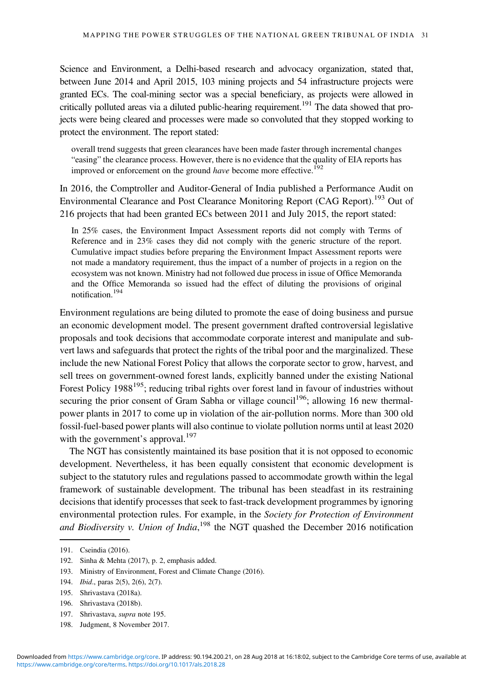Science and Environment, a Delhi-based research and advocacy organization, stated that, between June 2014 and April 2015, 103 mining projects and 54 infrastructure projects were granted ECs. The coal-mining sector was a special beneficiary, as projects were allowed in critically polluted areas via a diluted public-hearing requirement.<sup>191</sup> The data showed that projects were being cleared and processes were made so convoluted that they stopped working to protect the environment. The report stated:

overall trend suggests that green clearances have been made faster through incremental changes "easing" the clearance process. However, there is no evidence that the quality of EIA reports has improved or enforcement on the ground *have* become more effective.<sup>192</sup>

In 2016, the Comptroller and Auditor-General of India published a Performance Audit on Environmental Clearance and Post Clearance Monitoring Report (CAG Report).<sup>193</sup> Out of 216 projects that had been granted ECs between 2011 and July 2015, the report stated:

In 25% cases, the Environment Impact Assessment reports did not comply with Terms of Reference and in 23% cases they did not comply with the generic structure of the report. Cumulative impact studies before preparing the Environment Impact Assessment reports were not made a mandatory requirement, thus the impact of a number of projects in a region on the ecosystem was not known. Ministry had not followed due process in issue of Office Memoranda and the Office Memoranda so issued had the effect of diluting the provisions of original notification.194

Environment regulations are being diluted to promote the ease of doing business and pursue an economic development model. The present government drafted controversial legislative proposals and took decisions that accommodate corporate interest and manipulate and subvert laws and safeguards that protect the rights of the tribal poor and the marginalized. These include the new National Forest Policy that allows the corporate sector to grow, harvest, and sell trees on government-owned forest lands, explicitly banned under the existing National Forest Policy  $1988^{195}$ ; reducing tribal rights over forest land in favour of industries without securing the prior consent of Gram Sabha or village council<sup>196</sup>; allowing 16 new thermalpower plants in 2017 to come up in violation of the air-pollution norms. More than 300 old fossil-fuel-based power plants will also continue to violate pollution norms until at least 2020 with the government's approval.<sup>197</sup>

The NGT has consistently maintained its base position that it is not opposed to economic development. Nevertheless, it has been equally consistent that economic development is subject to the statutory rules and regulations passed to accommodate growth within the legal framework of sustainable development. The tribunal has been steadfast in its restraining decisions that identify processes that seek to fast-track development programmes by ignoring environmental protection rules. For example, in the Society for Protection of Environment and Biodiversity v. Union of India,  $198$  the NGT quashed the December 2016 notification

<sup>191.</sup> Cseindia [\(2016\)](#page-37-0).

<sup>192.</sup> Sinha & Mehta ([2017](#page-41-0)), p. 2, emphasis added.

<sup>193.</sup> Ministry of Environment, Forest and Climate Change ([2016\)](#page-39-0).

<sup>194.</sup> Ibid., paras 2(5), 2(6), 2(7).

<sup>195.</sup> Shrivastava [\(2018a](#page-41-0)).

<sup>196.</sup> Shrivastava [\(2018b\)](#page-41-0).

<sup>197.</sup> Shrivastava, supra note 195.

<sup>198.</sup> Judgment, 8 November 2017.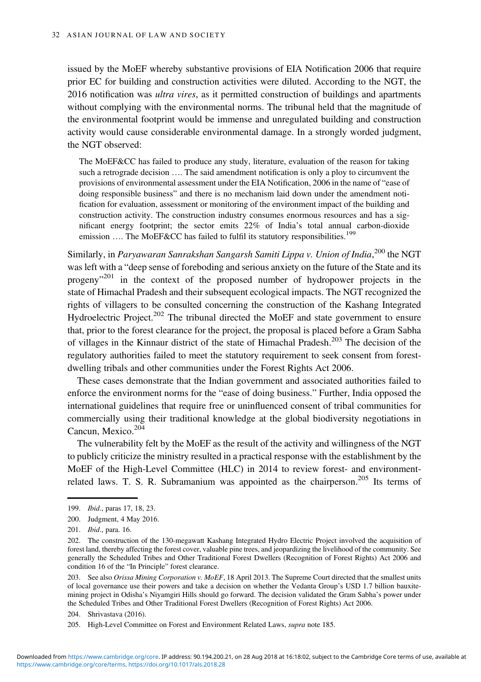issued by the MoEF whereby substantive provisions of EIA Notification 2006 that require prior EC for building and construction activities were diluted. According to the NGT, the 2016 notification was *ultra vires*, as it permitted construction of buildings and apartments without complying with the environmental norms. The tribunal held that the magnitude of the environmental footprint would be immense and unregulated building and construction activity would cause considerable environmental damage. In a strongly worded judgment, the NGT observed:

The MoEF&CC has failed to produce any study, literature, evaluation of the reason for taking such a retrograde decision …. The said amendment notification is only a ploy to circumvent the provisions of environmental assessment under the EIA Notification, 2006 in the name of "ease of doing responsible business" and there is no mechanism laid down under the amendment notification for evaluation, assessment or monitoring of the environment impact of the building and construction activity. The construction industry consumes enormous resources and has a significant energy footprint; the sector emits 22% of India's total annual carbon-dioxide emission .... The MoEF&CC has failed to fulfil its statutory responsibilities.<sup>199</sup>

Similarly, in *Paryawaran Sanrakshan Sangarsh Samiti Lippa v. Union of India*,<sup>200</sup> the NGT was left with a "deep sense of foreboding and serious anxiety on the future of the State and its progeny"<sup>201</sup> in the context of the proposed number of hydropower projects in the state of Himachal Pradesh and their subsequent ecological impacts. The NGT recognized the rights of villagers to be consulted concerning the construction of the Kashang Integrated Hydroelectric Project.<sup>202</sup> The tribunal directed the MoEF and state government to ensure that, prior to the forest clearance for the project, the proposal is placed before a Gram Sabha of villages in the Kinnaur district of the state of Himachal Pradesh.<sup>203</sup> The decision of the regulatory authorities failed to meet the statutory requirement to seek consent from forestdwelling tribals and other communities under the Forest Rights Act 2006.

These cases demonstrate that the Indian government and associated authorities failed to enforce the environment norms for the "ease of doing business." Further, India opposed the international guidelines that require free or uninfluenced consent of tribal communities for commercially using their traditional knowledge at the global biodiversity negotiations in Cancun, Mexico.<sup>204</sup>

The vulnerability felt by the MoEF as the result of the activity and willingness of the NGT to publicly criticize the ministry resulted in a practical response with the establishment by the MoEF of the High-Level Committee (HLC) in 2014 to review forest- and environmentrelated laws. T. S. R. Subramanium was appointed as the chairperson.<sup>205</sup> Its terms of

<sup>199.</sup> Ibid., paras 17, 18, 23.

<sup>200.</sup> Judgment, 4 May 2016.

<sup>201.</sup> Ibid., para. 16.

<sup>202.</sup> The construction of the 130-megawatt Kashang Integrated Hydro Electric Project involved the acquisition of forest land, thereby affecting the forest cover, valuable pine trees, and jeopardizing the livelihood of the community. See generally the Scheduled Tribes and Other Traditional Forest Dwellers (Recognition of Forest Rights) Act 2006 and condition 16 of the "In Principle" forest clearance.

<sup>203.</sup> See also Orissa Mining Corporation v. MoEF, 18 April 2013. The Supreme Court directed that the smallest units of local governance use their powers and take a decision on whether the Vedanta Group's USD 1.7 billion bauxitemining project in Odisha's Niyamgiri Hills should go forward. The decision validated the Gram Sabha's power under the Scheduled Tribes and Other Traditional Forest Dwellers (Recognition of Forest Rights) Act 2006.

<sup>204.</sup> Shrivastava [\(2016\)](#page-41-0).

<sup>205.</sup> High-Level Committee on Forest and Environment Related Laws, *supra* note 185.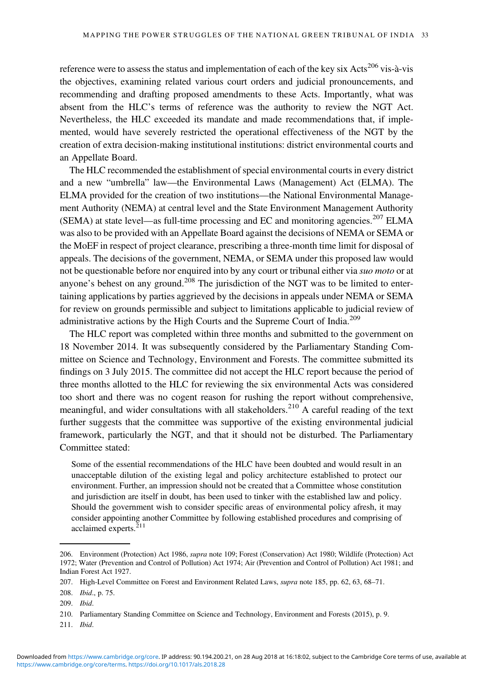reference were to assess the status and implementation of each of the key six Acts<sup>206</sup> vis-à-vis the objectives, examining related various court orders and judicial pronouncements, and recommending and drafting proposed amendments to these Acts. Importantly, what was absent from the HLC's terms of reference was the authority to review the NGT Act. Nevertheless, the HLC exceeded its mandate and made recommendations that, if implemented, would have severely restricted the operational effectiveness of the NGT by the creation of extra decision-making institutional institutions: district environmental courts and an Appellate Board.

The HLC recommended the establishment of special environmental courts in every district and a new "umbrella" law—the Environmental Laws (Management) Act (ELMA). The ELMA provided for the creation of two institutions—the National Environmental Management Authority (NEMA) at central level and the State Environment Management Authority (SEMA) at state level—as full-time processing and EC and monitoring agencies.<sup>207</sup> ELMA was also to be provided with an Appellate Board against the decisions of NEMA or SEMA or the MoEF in respect of project clearance, prescribing a three-month time limit for disposal of appeals. The decisions of the government, NEMA, or SEMA under this proposed law would not be questionable before nor enquired into by any court or tribunal either via *suo moto* or at anyone's behest on any ground.<sup>208</sup> The jurisdiction of the NGT was to be limited to entertaining applications by parties aggrieved by the decisions in appeals under NEMA or SEMA for review on grounds permissible and subject to limitations applicable to judicial review of administrative actions by the High Courts and the Supreme Court of India.<sup>209</sup>

The HLC report was completed within three months and submitted to the government on 18 November 2014. It was subsequently considered by the Parliamentary Standing Committee on Science and Technology, Environment and Forests. The committee submitted its findings on 3 July 2015. The committee did not accept the HLC report because the period of three months allotted to the HLC for reviewing the six environmental Acts was considered too short and there was no cogent reason for rushing the report without comprehensive, meaningful, and wider consultations with all stakeholders.<sup>210</sup> A careful reading of the text further suggests that the committee was supportive of the existing environmental judicial framework, particularly the NGT, and that it should not be disturbed. The Parliamentary Committee stated:

Some of the essential recommendations of the HLC have been doubted and would result in an unacceptable dilution of the existing legal and policy architecture established to protect our environment. Further, an impression should not be created that a Committee whose constitution and jurisdiction are itself in doubt, has been used to tinker with the established law and policy. Should the government wish to consider specific areas of environmental policy afresh, it may consider appointing another Committee by following established procedures and comprising of acclaimed experts.<sup>211</sup>

211. Ibid.

<sup>206.</sup> Environment (Protection) Act 1986, supra note 109; Forest (Conservation) Act 1980; Wildlife (Protection) Act 1972; Water (Prevention and Control of Pollution) Act 1974; Air (Prevention and Control of Pollution) Act 1981; and Indian Forest Act 1927.

<sup>207.</sup> High-Level Committee on Forest and Environment Related Laws, *supra* note 185, pp. 62, 63, 68–71.

<sup>208.</sup> Ibid., p. 75.

<sup>209.</sup> Ibid.

<sup>210.</sup> Parliamentary Standing Committee on Science and Technology, Environment and Forests (2015), p. 9.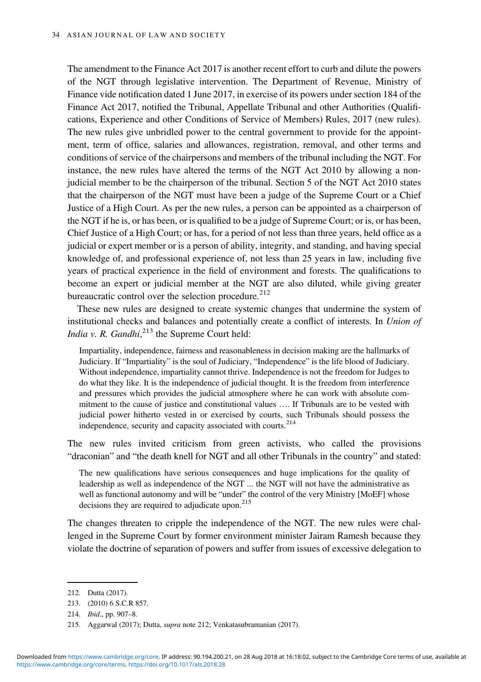The amendment to the Finance Act 2017 is another recent effort to curb and dilute the powers of the NGT through legislative intervention. The Department of Revenue, Ministry of Finance vide notification dated 1 June 2017, in exercise of its powers under section 184 of the Finance Act 2017, notified the Tribunal, Appellate Tribunal and other Authorities (Qualifications, Experience and other Conditions of Service of Members) Rules, 2017 (new rules). The new rules give unbridled power to the central government to provide for the appointment, term of office, salaries and allowances, registration, removal, and other terms and conditions of service of the chairpersons and members of the tribunal including the NGT. For instance, the new rules have altered the terms of the NGT Act 2010 by allowing a nonjudicial member to be the chairperson of the tribunal. Section 5 of the NGT Act 2010 states that the chairperson of the NGT must have been a judge of the Supreme Court or a Chief Justice of a High Court. As per the new rules, a person can be appointed as a chairperson of the NGT if he is, or has been, or is qualified to be a judge of Supreme Court; or is, or has been, Chief Justice of a High Court; or has, for a period of not less than three years, held office as a judicial or expert member or is a person of ability, integrity, and standing, and having special knowledge of, and professional experience of, not less than 25 years in law, including five years of practical experience in the field of environment and forests. The qualifications to become an expert or judicial member at the NGT are also diluted, while giving greater bureaucratic control over the selection procedure. $2^{12}$ 

These new rules are designed to create systemic changes that undermine the system of institutional checks and balances and potentially create a conflict of interests. In Union of India v. R. Gandhi,<sup>213</sup> the Supreme Court held:

Impartiality, independence, fairness and reasonableness in decision making are the hallmarks of Judiciary. If "Impartiality" is the soul of Judiciary, "Independence" is the life blood of Judiciary. Without independence, impartiality cannot thrive. Independence is not the freedom for Judges to do what they like. It is the independence of judicial thought. It is the freedom from interference and pressures which provides the judicial atmosphere where he can work with absolute commitment to the cause of justice and constitutional values …. If Tribunals are to be vested with judicial power hitherto vested in or exercised by courts, such Tribunals should possess the independence, security and capacity associated with courts.<sup>214</sup>

The new rules invited criticism from green activists, who called the provisions "draconian" and "the death knell for NGT and all other Tribunals in the country" and stated:

The new qualifications have serious consequences and huge implications for the quality of leadership as well as independence of the NGT ... the NGT will not have the administrative as well as functional autonomy and will be "under" the control of the very Ministry [MoEF] whose decisions they are required to adjudicate upon.<sup>215</sup>

The changes threaten to cripple the independence of the NGT. The new rules were challenged in the Supreme Court by former environment minister Jairam Ramesh because they violate the doctrine of separation of powers and suffer from issues of excessive delegation to

<sup>212.</sup> Dutta ([2017](#page-37-0)).

<sup>213. (2010) 6</sup> S.C.R 857.

<sup>214.</sup> Ibid., pp. 907–8.

<sup>215.</sup> Aggarwal ([2017](#page-36-0)); Dutta, supra note 212; Venkatasubramanian ([2017](#page-41-0)).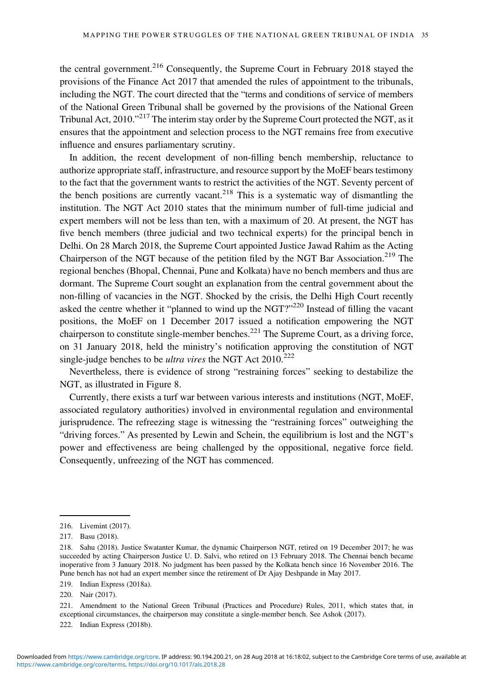the central government.<sup>216</sup> Consequently, the Supreme Court in February 2018 stayed the provisions of the Finance Act 2017 that amended the rules of appointment to the tribunals, including the NGT. The court directed that the "terms and conditions of service of members of the National Green Tribunal shall be governed by the provisions of the National Green Tribunal Act, 2010."<sup>217</sup> The interim stay order by the Supreme Court protected the NGT, as it ensures that the appointment and selection process to the NGT remains free from executive influence and ensures parliamentary scrutiny.

In addition, the recent development of non-filling bench membership, reluctance to authorize appropriate staff, infrastructure, and resource support by the MoEF bears testimony to the fact that the government wants to restrict the activities of the NGT. Seventy percent of the bench positions are currently vacant.<sup>218</sup> This is a systematic way of dismantling the institution. The NGT Act 2010 states that the minimum number of full-time judicial and expert members will not be less than ten, with a maximum of 20. At present, the NGT has five bench members (three judicial and two technical experts) for the principal bench in Delhi. On 28 March 2018, the Supreme Court appointed Justice Jawad Rahim as the Acting Chairperson of the NGT because of the petition filed by the NGT Bar Association.<sup>219</sup> The regional benches (Bhopal, Chennai, Pune and Kolkata) have no bench members and thus are dormant. The Supreme Court sought an explanation from the central government about the non-filling of vacancies in the NGT. Shocked by the crisis, the Delhi High Court recently asked the centre whether it "planned to wind up the NGT?"<sup>220</sup> Instead of filling the vacant positions, the MoEF on 1 December 2017 issued a notification empowering the NGT chairperson to constitute single-member benches.<sup>221</sup> The Supreme Court, as a driving force, on 31 January 2018, held the ministry's notification approving the constitution of NGT single-judge benches to be *ultra vires* the NGT Act  $2010.<sup>222</sup>$ 

Nevertheless, there is evidence of strong "restraining forces" seeking to destabilize the NGT, as illustrated in [Figure 8.](#page-35-0)

Currently, there exists a turf war between various interests and institutions (NGT, MoEF, associated regulatory authorities) involved in environmental regulation and environmental jurisprudence. The refreezing stage is witnessing the "restraining forces" outweighing the "driving forces." As presented by Lewin and Schein, the equilibrium is lost and the NGT's power and effectiveness are being challenged by the oppositional, negative force field. Consequently, unfreezing of the NGT has commenced.

<sup>216.</sup> Livemint ([2017](#page-39-0)).

<sup>217.</sup> Basu ([2018](#page-36-0)).

<sup>218.</sup> Sahu [\(2018\)](#page-40-0). Justice Swatanter Kumar, the dynamic Chairperson NGT, retired on 19 December 2017; he was succeeded by acting Chairperson Justice U. D. Salvi, who retired on 13 February 2018. The Chennai bench became inoperative from 3 January 2018. No judgment has been passed by the Kolkata bench since 16 November 2016. The Pune bench has not had an expert member since the retirement of Dr Ajay Deshpande in May 2017.

<sup>219.</sup> Indian Express [\(2018a](#page-38-0)).

<sup>220.</sup> Nair [\(2017\)](#page-39-0).

<sup>221.</sup> Amendment to the National Green Tribunal (Practices and Procedure) Rules, 2011, which states that, in exceptional circumstances, the chairperson may constitute a single-member bench. See Ashok ([2017](#page-36-0)).

<sup>222.</sup> Indian Express [\(2018b\)](#page-38-0).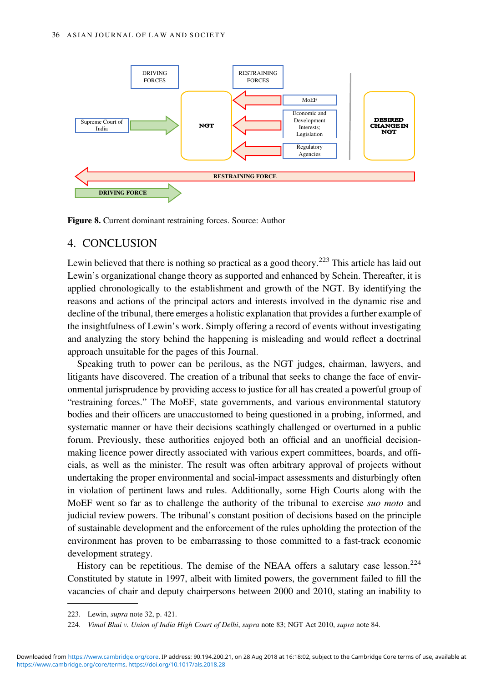<span id="page-35-0"></span>

Figure 8. Current dominant restraining forces. Source: Author

# 4. CONCLUSION

Lewin believed that there is nothing so practical as a good theory.<sup>223</sup> This article has laid out Lewin's organizational change theory as supported and enhanced by Schein. Thereafter, it is applied chronologically to the establishment and growth of the NGT. By identifying the reasons and actions of the principal actors and interests involved in the dynamic rise and decline of the tribunal, there emerges a holistic explanation that provides a further example of the insightfulness of Lewin's work. Simply offering a record of events without investigating and analyzing the story behind the happening is misleading and would reflect a doctrinal approach unsuitable for the pages of this Journal.

Speaking truth to power can be perilous, as the NGT judges, chairman, lawyers, and litigants have discovered. The creation of a tribunal that seeks to change the face of environmental jurisprudence by providing access to justice for all has created a powerful group of "restraining forces." The MoEF, state governments, and various environmental statutory bodies and their officers are unaccustomed to being questioned in a probing, informed, and systematic manner or have their decisions scathingly challenged or overturned in a public forum. Previously, these authorities enjoyed both an official and an unofficial decisionmaking licence power directly associated with various expert committees, boards, and officials, as well as the minister. The result was often arbitrary approval of projects without undertaking the proper environmental and social-impact assessments and disturbingly often in violation of pertinent laws and rules. Additionally, some High Courts along with the MoEF went so far as to challenge the authority of the tribunal to exercise *suo moto* and judicial review powers. The tribunal's constant position of decisions based on the principle of sustainable development and the enforcement of the rules upholding the protection of the environment has proven to be embarrassing to those committed to a fast-track economic development strategy.

History can be repetitious. The demise of the NEAA offers a salutary case lesson.<sup>224</sup> Constituted by statute in 1997, albeit with limited powers, the government failed to fill the vacancies of chair and deputy chairpersons between 2000 and 2010, stating an inability to

<sup>223.</sup> Lewin, supra note 32, p. 421.

<sup>224.</sup> Vimal Bhai v. Union of India High Court of Delhi, supra note 83; NGT Act 2010, supra note 84.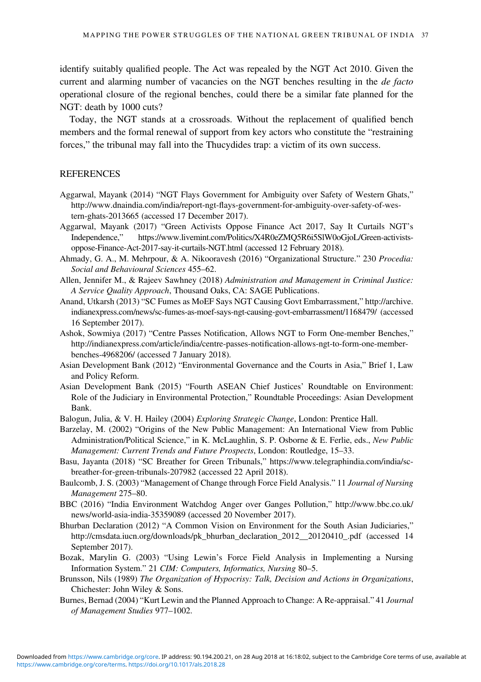<span id="page-36-0"></span>identify suitably qualified people. The Act was repealed by the NGT Act 2010. Given the current and alarming number of vacancies on the NGT benches resulting in the *de facto* operational closure of the regional benches, could there be a similar fate planned for the NGT: death by 1000 cuts?

Today, the NGT stands at a crossroads. Without the replacement of qualified bench members and the formal renewal of support from key actors who constitute the "restraining forces," the tribunal may fall into the Thucydides trap: a victim of its own success.

#### REFERENCES

- Aggarwal, Mayank (2014) "NGT Flays Government for Ambiguity over Safety of Western Ghats," http://www.dnaindia.com/india/report-ngt-fl[ays-government-for-ambiguity-over-safety-of-wes](http://www.dnaindia.com/india/report-ngt-flays-government-for-ambiguity-over-safety-of-western-ghats-2013665)[tern-ghats-2013665](http://www.dnaindia.com/india/report-ngt-flays-government-for-ambiguity-over-safety-of-western-ghats-2013665) (accessed 17 December 2017).
- Aggarwal, Mayank (2017) "Green Activists Oppose Finance Act 2017, Say It Curtails NGT's Independence," [https://www.livemint.com/Politics/X4R0eZMQ5R6i5SlW0oGjoL/Green-activists](https://www.livemint.com/Politics/X4R0eZMQ5R6i5SlW0oGjoL/Green-activists-oppose-Finance-Act-2017-say-it-curtails-NGT.html)[oppose-Finance-Act-2017-say-it-curtails-NGT.html](https://www.livemint.com/Politics/X4R0eZMQ5R6i5SlW0oGjoL/Green-activists-oppose-Finance-Act-2017-say-it-curtails-NGT.html) (accessed 12 February 2018).
- Ahmady, G. A., M. Mehrpour, & A. Nikooravesh (2016) "Organizational Structure." 230 Procedia: Social and Behavioural Sciences 455–62.
- Allen, Jennifer M., & Rajeev Sawhney (2018) Administration and Management in Criminal Justice: A Service Quality Approach, Thousand Oaks, CA: SAGE Publications.
- Anand, Utkarsh (2013) "SC Fumes as MoEF Says NGT Causing Govt Embarrassment," [http://archive.](http://archive.indianexpress.com/news/sc-fumes-as-moef-says-ngt-causing-govt-embarrassment/1168479/) [indianexpress.com/news/sc-fumes-as-moef-says-ngt-causing-govt-embarrassment/1168479/](http://archive.indianexpress.com/news/sc-fumes-as-moef-says-ngt-causing-govt-embarrassment/1168479/) (accessed 16 September 2017).
- Ashok, Sowmiya (2017) "Centre Passes Notification, Allows NGT to Form One-member Benches," [http://indianexpress.com/article/india/centre-passes-noti](http://indianexpress.com/article/india/centre-passes-notification-allows-ngt-to-form-one-member-benches-4968206/)fication-allows-ngt-to-form-one-member[benches-4968206/](http://indianexpress.com/article/india/centre-passes-notification-allows-ngt-to-form-one-member-benches-4968206/) (accessed 7 January 2018).
- Asian Development Bank (2012) "Environmental Governance and the Courts in Asia," Brief 1, Law and Policy Reform.
- Asian Development Bank (2015) "Fourth ASEAN Chief Justices' Roundtable on Environment: Role of the Judiciary in Environmental Protection," Roundtable Proceedings: Asian Development Bank.
- Balogun, Julia, & V. H. Hailey (2004) Exploring Strategic Change, London: Prentice Hall.
- Barzelay, M. (2002) "Origins of the New Public Management: An International View from Public Administration/Political Science," in K. McLaughlin, S. P. Osborne & E. Ferlie, eds., New Public Management: Current Trends and Future Prospects, London: Routledge, 15–33.
- Basu, Jayanta (2018) "SC Breather for Green Tribunals," [https://www.telegraphindia.com/india/sc](https://www.telegraphindia.com/india/sc-breather-for-green-tribunals-207982)[breather-for-green-tribunals-207982](https://www.telegraphindia.com/india/sc-breather-for-green-tribunals-207982) (accessed 22 April 2018).
- Baulcomb, J. S. (2003) "Management of Change through Force Field Analysis." 11 Journal of Nursing Management 275–80.
- BBC (2016) "India Environment Watchdog Anger over Ganges Pollution," [http://www.bbc.co.uk/](http://www.bbc.�co.uk/news/world-asia-india-35359089) [news/world-asia-india-35359089](http://www.bbc.�co.uk/news/world-asia-india-35359089) (accessed 20 November 2017).
- Bhurban Declaration (2012) "A Common Vision on Environment for the South Asian Judiciaries," [http://cmsdata.iucn.org/downloads/pk\\_bhurban\\_declaration\\_2012\\_\\_20120410\\_.pdf](http://cmsdata.iucn.org/downloads/pk_bhurban_declaration_2012__20120410_.pdf) (accessed 14 September 2017).
- Bozak, Marylin G. (2003) "Using Lewin's Force Field Analysis in Implementing a Nursing Information System." 21 CIM: Computers, Informatics, Nursing 80–5.
- Brunsson, Nils (1989) The Organization of Hypocrisy: Talk, Decision and Actions in Organizations, Chichester: John Wiley & Sons.
- Burnes, Bernad (2004) "Kurt Lewin and the Planned Approach to Change: A Re-appraisal." 41 Journal of Management Studies 977–1002.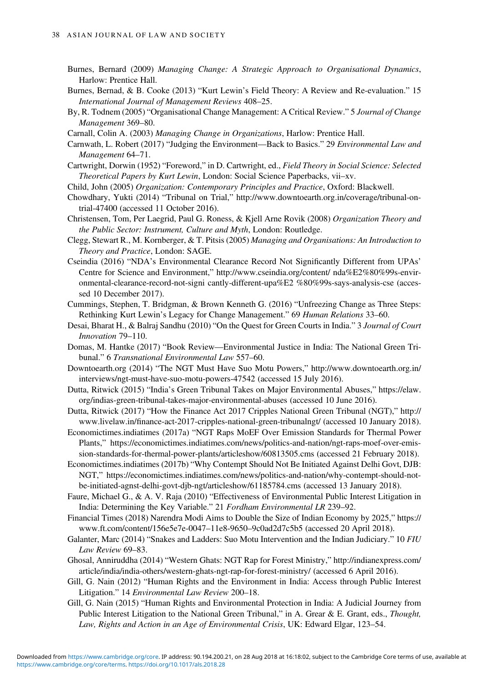- <span id="page-37-0"></span>Burnes, Bernard (2009) Managing Change: A Strategic Approach to Organisational Dynamics, Harlow: Prentice Hall.
- Burnes, Bernad, & B. Cooke (2013) "Kurt Lewin's Field Theory: A Review and Re-evaluation." 15 International Journal of Management Reviews 408–25.
- By, R. Todnem (2005) "Organisational Change Management: A Critical Review." 5 Journal of Change Management 369–80.
- Carnall, Colin A. (2003) Managing Change in Organizations, Harlow: Prentice Hall.
- Carnwath, L. Robert (2017) "Judging the Environment—Back to Basics." 29 Environmental Law and Management 64–71.
- Cartwright, Dorwin (1952) "Foreword," in D. Cartwright, ed., Field Theory in Social Science: Selected Theoretical Papers by Kurt Lewin, London: Social Science Paperbacks, vii–xv.
- Child, John (2005) Organization: Contemporary Principles and Practice, Oxford: Blackwell.
- Chowdhary, Yukti (2014) "Tribunal on Trial," [http://www.downtoearth.org.in/coverage/tribunal-on](http://www.downtoearth.org.in/coverage/tribunal-on-trial-47400)[trial-47400](http://www.downtoearth.org.in/coverage/tribunal-on-trial-47400) (accessed 11 October 2016).
- Christensen, Tom, Per Laegrid, Paul G. Roness, & Kjell Arne Rovik (2008) Organization Theory and the Public Sector: Instrument, Culture and Myth, London: Routledge.
- Clegg, Stewart R., M. Kornberger, & T. Pitsis (2005) Managing and Organisations: An Introduction to Theory and Practice, London: SAGE.
- Cseindia (2016) "NDA's Environmental Clearance Record Not Significantly Different from UPAs' Centre for Science and Environment," [http://www.cseindia.org/content/ nda%E2%80%99s-envir](http://www.cseindia.org/content/ nda%E2%80%99s-environmental-clearance-record-not-signi cantly-different-upa%E2 %80%99s-says-analysis-cse)[onmental-clearance-record-not-signi cantly-different-upa%E2 %80%99s-says-analysis-cse](http://www.cseindia.org/content/ nda%E2%80%99s-environmental-clearance-record-not-signi cantly-different-upa%E2 %80%99s-says-analysis-cse) (accessed 10 December 2017).
- Cummings, Stephen, T. Bridgman, & Brown Kenneth G. (2016) "Unfreezing Change as Three Steps: Rethinking Kurt Lewin's Legacy for Change Management." 69 Human Relations 33–60.
- Desai, Bharat H., & Balraj Sandhu (2010) "On the Quest for Green Courts in India." 3 Journal of Court Innovation 79–110.
- Domas, M. Hantke (2017) "Book Review—Environmental Justice in India: The National Green Tribunal." 6 Transnational Environmental Law 557–60.
- Downtoearth.org (2014) "The NGT Must Have Suo Motu Powers," [http://www.downtoearth.org.in/](http://www.downtoearth.org.in/interviews/ngt-must-have-suo-motu-powers-47542) [interviews/ngt-must-have-suo-motu-powers-47542](http://www.downtoearth.org.in/interviews/ngt-must-have-suo-motu-powers-47542) (accessed 15 July 2016).
- Dutta, Ritwick (2015) "India's Green Tribunal Takes on Major Environmental Abuses," [https://elaw.](https://elaw.org/indias-green-tribunal-takes-major-environmental-abuses) [org/indias-green-tribunal-takes-major-environmental-abuses](https://elaw.org/indias-green-tribunal-takes-major-environmental-abuses) (accessed 10 June 2016).
- Dutta, Ritwick (2017) "How the Finance Act 2017 Cripples National Green Tribunal (NGT)," [http://](http://www.livelaw.in/finance-act-2017-cripples-national-green-tribunalngt/) www.livelaw.in/fi[nance-act-2017-cripples-national-green-tribunalngt/](http://www.livelaw.in/finance-act-2017-cripples-national-green-tribunalngt/) (accessed 10 January 2018).
- Economictimes.indiatimes (2017a) "NGT Raps MoEF Over Emission Standards for Thermal Power Plants," [https://economictimes.indiatimes.com/news/politics-and-nation/ngt-raps-moef-over-emis](https://economictimes.indiatimes.com/news/politics-and-nation/ngt-raps-moef-over-emission-standards-for-thermal-power-plants/articleshow/60813505.cms)[sion-standards-for-thermal-power-plants/articleshow/60813505.cms](https://economictimes.indiatimes.com/news/politics-and-nation/ngt-raps-moef-over-emission-standards-for-thermal-power-plants/articleshow/60813505.cms) (accessed 21 February 2018).
- Economictimes.indiatimes (2017b) "Why Contempt Should Not Be Initiated Against Delhi Govt, DJB: NGT," [https://economictimes.indiatimes.com/news/politics-and-nation/why-contempt-should-not](https://economictimes.indiatimes.com/news/politics-and-nation/why-contempt-should-not-be-initiated-agnst-delhi-govt-djb-ngt/articleshow/61185784.cms)[be-initiated-agnst-delhi-govt-djb-ngt/articleshow/61185784.cms](https://economictimes.indiatimes.com/news/politics-and-nation/why-contempt-should-not-be-initiated-agnst-delhi-govt-djb-ngt/articleshow/61185784.cms) (accessed 13 January 2018).
- Faure, Michael G., & A. V. Raja (2010) "Effectiveness of Environmental Public Interest Litigation in India: Determining the Key Variable." 21 Fordham Environmental LR 239–92.
- Financial Times (2018) Narendra Modi Aims to Double the Size of Indian Economy by 2025," [https://](https://www.ft.com/content/156e5e7e-0047–11e8-9650–9c0ad2d7c5b5) [www.ft.com/content/156e5e7e-0047](https://www.ft.com/content/156e5e7e-0047–11e8-9650–9c0ad2d7c5b5)–11e8-9650–9c0ad2d7c5b5 (accessed 20 April 2018).
- Galanter, Marc (2014) "Snakes and Ladders: Suo Motu Intervention and the Indian Judiciary." 10 FIU Law Review 69–83.
- Ghosal, Anniruddha (2014) "Western Ghats: NGT Rap for Forest Ministry," [http://indianexpress.com/](http://indianexpress.com/article/india/india-others/western-ghats-ngt-rap-for-forest-ministry/) [article/india/india-others/western-ghats-ngt-rap-for-forest-ministry/](http://indianexpress.com/article/india/india-others/western-ghats-ngt-rap-for-forest-ministry/) (accessed 6 April 2016).
- Gill, G. Nain (2012) "Human Rights and the Environment in India: Access through Public Interest Litigation." 14 Environmental Law Review 200–18.
- Gill, G. Nain (2015) "Human Rights and Environmental Protection in India: A Judicial Journey from Public Interest Litigation to the National Green Tribunal," in A. Grear & E. Grant, eds., *Thought*, Law, Rights and Action in an Age of Environmental Crisis, UK: Edward Elgar, 123–54.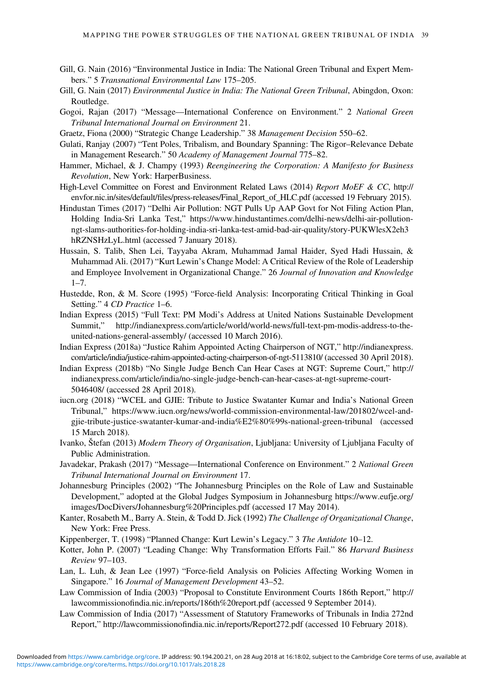- <span id="page-38-0"></span>Gill, G. Nain (2016) "Environmental Justice in India: The National Green Tribunal and Expert Members." 5 Transnational Environmental Law 175–205.
- Gill, G. Nain (2017) Environmental Justice in India: The National Green Tribunal, Abingdon, Oxon: Routledge.
- Gogoi, Rajan (2017) "Message—International Conference on Environment." 2 National Green Tribunal International Journal on Environment 21.
- Graetz, Fiona (2000) "Strategic Change Leadership." 38 Management Decision 550–62.
- Gulati, Ranjay (2007) "Tent Poles, Tribalism, and Boundary Spanning: The Rigor–Relevance Debate in Management Research." 50 Academy of Management Journal 775–82.
- Hammer, Michael, & J. Champy (1993) Reengineering the Corporation: A Manifesto for Business Revolution, New York: HarperBusiness.
- High-Level Committee on Forest and Environment Related Laws (2014) Report MoEF & CC, [http://](http://envfor.nic.in/sites/default/files/press-releases/Final_Report_of_HLC.pdf) envfor.nic.in/sites/default/fi[les/press-releases/Final\\_Report\\_of\\_HLC.pdf](http://envfor.nic.in/sites/default/files/press-releases/Final_Report_of_HLC.pdf) (accessed 19 February 2015).
- Hindustan Times (2017) "Delhi Air Pollution: NGT Pulls Up AAP Govt for Not Filing Action Plan, Holding India-Sri Lanka Test," [https://www.hindustantimes.com/delhi-news/delhi-air-pollution](https://www.hindustantimes.com/delhi-news/delhi-air-pollution-ngt-slams-authorities-for-holding-india-sri-lanka-test-amid-bad-air-quality/story-PUKWlesX2eh3hRZNSHzLyL.html)[ngt-slams-authorities-for-holding-india-sri-lanka-test-amid-bad-air-quality/story-PUKWlesX2eh3](https://www.hindustantimes.com/delhi-news/delhi-air-pollution-ngt-slams-authorities-for-holding-india-sri-lanka-test-amid-bad-air-quality/story-PUKWlesX2eh3hRZNSHzLyL.html) [hRZNSHzLyL.html](https://www.hindustantimes.com/delhi-news/delhi-air-pollution-ngt-slams-authorities-for-holding-india-sri-lanka-test-amid-bad-air-quality/story-PUKWlesX2eh3hRZNSHzLyL.html) (accessed 7 January 2018).
- Hussain, S. Talib, Shen Lei, Tayyaba Akram, Muhammad Jamal Haider, Syed Hadi Hussain, & Muhammad Ali. (2017) "Kurt Lewin's Change Model: A Critical Review of the Role of Leadership and Employee Involvement in Organizational Change." 26 Journal of Innovation and Knowledge  $1 - 7$ .
- Hustedde, Ron, & M. Score (1995) "Force-field Analysis: Incorporating Critical Thinking in Goal Setting." 4 CD Practice 1–6.
- Indian Express (2015) "Full Text: PM Modi's Address at United Nations Sustainable Development Summit," [http://indianexpress.com/article/world/world-news/full-text-pm-modis-address-to-the](http://indianexpress.com/article/world/world-news/full-text-pm-modis-address-to-the-united-nations-general-assembly/)[united-nations-general-assembly/](http://indianexpress.com/article/world/world-news/full-text-pm-modis-address-to-the-united-nations-general-assembly/) (accessed 10 March 2016).
- Indian Express (2018a) "Justice Rahim Appointed Acting Chairperson of NGT," [http://indianexpress.](http://indianexpress.com/article/india/justice-rahim-appointed-acting-chairperson-of-ngt-5113810/) [com/article/india/justice-rahim-appointed-acting-chairperson-of-ngt-5113810/](http://indianexpress.com/article/india/justice-rahim-appointed-acting-chairperson-of-ngt-5113810/) (accessed 30 April 2018).
- Indian Express (2018b) "No Single Judge Bench Can Hear Cases at NGT: Supreme Court," [http://](http://indianexpress.com/article/india/no-single-judge-bench-can-hear-cases-at-ngt-supreme-court-5046408/) [indianexpress.com/article/india/no-single-judge-bench-can-hear-cases-at-ngt-supreme-court-](http://indianexpress.com/article/india/no-single-judge-bench-can-hear-cases-at-ngt-supreme-court-5046408/)[5046408/](http://indianexpress.com/article/india/no-single-judge-bench-can-hear-cases-at-ngt-supreme-court-5046408/) (accessed 28 April 2018).
- iucn.org (2018) "WCEL and GJIE: Tribute to Justice Swatanter Kumar and India's National Green Tribunal," [https://www.iucn.org/news/world-commission-environmental-law/201802/wcel-and](https://www.iucn.org/news/world-commission-environmental-law/201802/wcel-and-gjie-tribute-justice-swatanter-kumar-and-india%E2%80%99s-national-green-tribunal)[gjie-tribute-justice-swatanter-kumar-and-india%E2%80%99s-national-green-tribunal](https://www.iucn.org/news/world-commission-environmental-law/201802/wcel-and-gjie-tribute-justice-swatanter-kumar-and-india%E2%80%99s-national-green-tribunal) (accessed 15 March 2018).
- Ivanko, Štefan (2013) Modern Theory of Organisation, Ljubljana: University of Ljubljana Faculty of Public Administration.
- Javadekar, Prakash (2017) "Message—International Conference on Environment." 2 National Green Tribunal International Journal on Environment 17.
- Johannesburg Principles (2002) "The Johannesburg Principles on the Role of Law and Sustainable Development," adopted at the Global Judges Symposium in Johannesburg [https://www.eufje.org/](https://www.eufje.org/images/DocDivers/Johannesburg%20Principles.pdf) [images/DocDivers/Johannesburg%20Principles.pdf](https://www.eufje.org/images/DocDivers/Johannesburg%20Principles.pdf) (accessed 17 May 2014).
- Kanter, Rosabeth M., Barry A. Stein, & Todd D. Jick (1992) The Challenge of Organizational Change, New York: Free Press.
- Kippenberger, T. (1998) "Planned Change: Kurt Lewin's Legacy." 3 The Antidote 10-12.
- Kotter, John P. (2007) "Leading Change: Why Transformation Efforts Fail." 86 Harvard Business  $P<sub>evi</sub> = 07–103$
- Lan, L. Luh, & Jean Lee (1997) "Force-field Analysis on Policies Affecting Working Women in Singapore." 16 Journal of Management Development 43–52.
- Law Commission of India (2003) "Proposal to Constitute Environment Courts 186th Report," [http://](http://lawcommissionofindia.nic.in/reports/186th%20report.pdf) lawcommissionofi[ndia.nic.in/reports/186th%20report.pdf](http://lawcommissionofindia.nic.in/reports/186th%20report.pdf) (accessed 9 September 2014).
- Law Commission of India (2017) "Assessment of Statutory Frameworks of Tribunals in India 272nd Report," http://lawcommissionofi[ndia.nic.in/reports/Report272.pdf](http://lawcommissionofindia.nic.in/reports/Report272.pdf) (accessed 10 February 2018).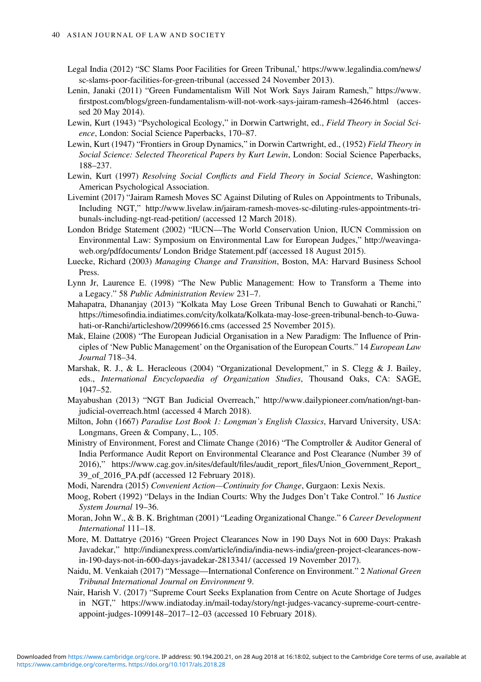- <span id="page-39-0"></span>Legal India (2012) "SC Slams Poor Facilities for Green Tribunal,' [https://www.legalindia.com/news/](https://www.legalindia.com/news/sc-slams-poor-facilities-for-green-tribunal) [sc-slams-poor-facilities-for-green-tribunal](https://www.legalindia.com/news/sc-slams-poor-facilities-for-green-tribunal) (accessed 24 November 2013).
- Lenin, Janaki (2011) "Green Fundamentalism Will Not Work Says Jairam Ramesh," [https://www.](https://www.firstpost.com/blogs/green-fundamentalism-will-not-work-says-jairam-ramesh-42646.html) fi[rstpost.com/blogs/green-fundamentalism-will-not-work-says-jairam-ramesh-42646.html](https://www.firstpost.com/blogs/green-fundamentalism-will-not-work-says-jairam-ramesh-42646.html) (accessed 20 May 2014).
- Lewin, Kurt (1943) "Psychological Ecology," in Dorwin Cartwright, ed., Field Theory in Social Science, London: Social Science Paperbacks, 170–87.
- Lewin, Kurt (1947) "Frontiers in Group Dynamics," in Dorwin Cartwright, ed., (1952) Field Theory in Social Science: Selected Theoretical Papers by Kurt Lewin, London: Social Science Paperbacks, 188–237.
- Lewin, Kurt (1997) Resolving Social Conflicts and Field Theory in Social Science, Washington: American Psychological Association.
- Livemint (2017) "Jairam Ramesh Moves SC Against Diluting of Rules on Appointments to Tribunals, Including NGT," [http://www.livelaw.in/jairam-ramesh-moves-sc-diluting-rules-appointments-tri](http://www.livelaw.in/jairam-ramesh-moves-sc-diluting-rules-appointments-tribunals-including-ngt-read-petition/)[bunals-including-ngt-read-petition/](http://www.livelaw.in/jairam-ramesh-moves-sc-diluting-rules-appointments-tribunals-including-ngt-read-petition/) (accessed 12 March 2018).
- London Bridge Statement (2002) "IUCN—The World Conservation Union, IUCN Commission on Environmental Law: Symposium on Environmental Law for European Judges," [http://weavinga](http://weavingaweb.org/pdfdocuments/ London Bridge Statement.pdf)[web.org/pdfdocuments/ London Bridge Statement.pdf](http://weavingaweb.org/pdfdocuments/ London Bridge Statement.pdf) (accessed 18 August 2015).
- Luecke, Richard (2003) Managing Change and Transition, Boston, MA: Harvard Business School Press.
- Lynn Jr, Laurence E. (1998) "The New Public Management: How to Transform a Theme into a Legacy." 58 Public Administration Review 231–7.
- Mahapatra, Dhananjay (2013) "Kolkata May Lose Green Tribunal Bench to Guwahati or Ranchi," https://timesofi[ndia.indiatimes.com/city/kolkata/Kolkata-may-lose-green-tribunal-bench-to-Guwa](https://timesofindia.indiatimes.com/city/kolkata/Kolkata-may-lose-green-tribunal-bench-to-Guwahati-or-Ranchi/articleshow/20996616.cms)[hati-or-Ranchi/articleshow/20996616.cms](https://timesofindia.indiatimes.com/city/kolkata/Kolkata-may-lose-green-tribunal-bench-to-Guwahati-or-Ranchi/articleshow/20996616.cms) (accessed 25 November 2015).
- Mak, Elaine (2008) "The European Judicial Organisation in a New Paradigm: The Influence of Principles of 'New Public Management' on the Organisation of the European Courts." 14 European Law Journal 718–34.
- Marshak, R. J., & L. Heracleous (2004) "Organizational Development," in S. Clegg & J. Bailey, eds., International Encyclopaedia of Organization Studies, Thousand Oaks, CA: SAGE, 1047–52.
- Mayabushan (2013) "NGT Ban Judicial Overreach," [http://www.dailypioneer.com/nation/ngt-ban](http://www.dailypioneer.com/nation/ngt-ban-judicial-overreach.html)[judicial-overreach.html](http://www.dailypioneer.com/nation/ngt-ban-judicial-overreach.html) (accessed 4 March 2018).
- Milton, John (1667) Paradise Lost Book 1: Longman's English Classics, Harvard University, USA: Longmans, Green & Company, L., 105.
- Ministry of Environment, Forest and Climate Change (2016) "The Comptroller & Auditor General of India Performance Audit Report on Environmental Clearance and Post Clearance (Number 39 of 2016)," [https://www.cag.gov.in/sites/default/](https://www.cag.gov.in/sites/default/files/audit_report_files/Union_Government_Report_39_of_2016_PA.pdf)files/audit\_report\_files/Union\_Government\_Report\_ [39\\_of\\_2016\\_PA.pdf](https://www.cag.gov.in/sites/default/files/audit_report_files/Union_Government_Report_39_of_2016_PA.pdf) (accessed 12 February 2018).
- Modi, Narendra (2015) Convenient Action—Continuity for Change, Gurgaon: Lexis Nexis.
- Moog, Robert (1992) "Delays in the Indian Courts: Why the Judges Don't Take Control." 16 Justice System Journal 19–36.
- Moran, John W., & B. K. Brightman (2001) "Leading Organizational Change." 6 Career Development International 111–18.
- More, M. Dattatrye (2016) "Green Project Clearances Now in 190 Days Not in 600 Days: Prakash Javadekar," [http://indianexpress.com/article/india/india-news-india/green-project-clearances-now](http://indianexpress.com/article/india/india-news-india/green-project-clearances-now-in-190-days-not-in-600-days-javadekar-2813341/)[in-190-days-not-in-600-days-javadekar-2813341/](http://indianexpress.com/article/india/india-news-india/green-project-clearances-now-in-190-days-not-in-600-days-javadekar-2813341/) (accessed 19 November 2017).
- Naidu, M. Venkaiah (2017) "Message—International Conference on Environment." 2 National Green Tribunal International Journal on Environment 9.
- Nair, Harish V. (2017) "Supreme Court Seeks Explanation from Centre on Acute Shortage of Judges in NGT," [https://www.indiatoday.in/mail-today/story/ngt-judges-vacancy-supreme-court-centre](https://www.indiatoday.in/mail-today/story/ngt-judges-vacancy-supreme-court-centre-appoint-judges-1099148–2017–12–03)[appoint-judges-1099148](https://www.indiatoday.in/mail-today/story/ngt-judges-vacancy-supreme-court-centre-appoint-judges-1099148–2017–12–03)–2017–12–03 (accessed 10 February 2018).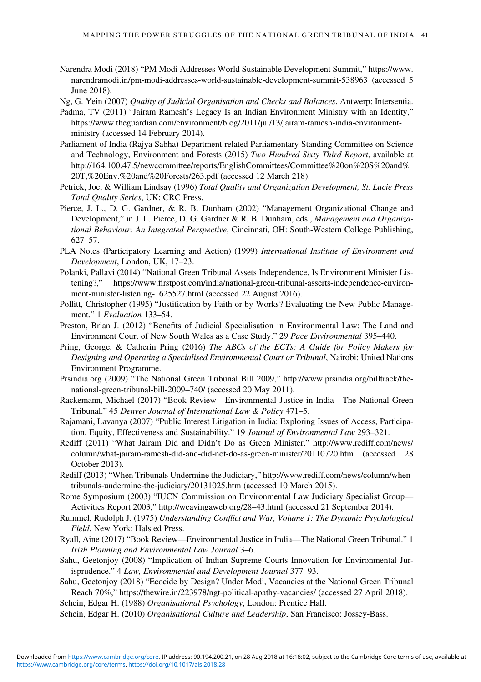<span id="page-40-0"></span>Narendra Modi (2018) "PM Modi Addresses World Sustainable Development Summit," [https://www.](https://www.narendramodi.in/pm-modi-addresses-world-sustainable-development-summit-538963) [narendramodi.in/pm-modi-addresses-world-sustainable-development-summit-538963](https://www.narendramodi.in/pm-modi-addresses-world-sustainable-development-summit-538963) (accessed 5 June 2018).

Ng, G. Yein (2007) Quality of Judicial Organisation and Checks and Balances, Antwerp: Intersentia.

- Padma, TV (2011) "Jairam Ramesh's Legacy Is an Indian Environment Ministry with an Identity," [https://www.theguardian.com/environment/blog/2011/jul/13/jairam-ramesh-india-environment](https://www.theguardian.com/environment/blog/2011/jul/13/jairam-ramesh-india-environment-ministry)[ministry](https://www.theguardian.com/environment/blog/2011/jul/13/jairam-ramesh-india-environment-ministry) (accessed 14 February 2014).
- Parliament of India (Rajya Sabha) Department-related Parliamentary Standing Committee on Science and Technology, Environment and Forests (2015) Two Hundred Sixty Third Report, available at [http://164.100.47.5/newcommittee/reports/EnglishCommittees/Committee%20on%20S%20and%](http://164.100.47.5/newcommittee/reports/EnglishCommittees/Committee%20on%20S%20and%20T,%20Env.%20and%20Forests/263.pdf) [20T,%20Env.%20and%20Forests/263.pdf \(accessed 12 March 218\).](http://164.100.47.5/newcommittee/reports/EnglishCommittees/Committee%20on%20S%20and%20T,%20Env.%20and%20Forests/263.pdf)
- Petrick, Joe, & William Lindsay (1996) Total Quality and Organization Development, St. Lucie Press Total Quality Series, UK: CRC Press.
- Pierce, J. L., D. G. Gardner, & R. B. Dunham (2002) "Management Organizational Change and Development," in J. L. Pierce, D. G. Gardner & R. B. Dunham, eds., Management and Organizational Behaviour: An Integrated Perspective, Cincinnati, OH: South-Western College Publishing, 627–57.
- PLA Notes (Participatory Learning and Action) (1999) International Institute of Environment and Development, London, UK, 17–23.
- Polanki, Pallavi (2014) "National Green Tribunal Assets Independence, Is Environment Minister Listening?," https://www.fi[rstpost.com/india/national-green-tribunal-asserts-independence-environ](https://www.firstpost.com/india/national-green-tribunal-asserts-independence-environment-minister-listening-1625527.html)[ment-minister-listening-1625527.html](https://www.firstpost.com/india/national-green-tribunal-asserts-independence-environment-minister-listening-1625527.html) (accessed 22 August 2016).
- Pollitt, Christopher (1995) "Justification by Faith or by Works? Evaluating the New Public Management." 1 Evaluation 133–54.
- Preston, Brian J. (2012) "Benefits of Judicial Specialisation in Environmental Law: The Land and Environment Court of New South Wales as a Case Study." 29 Pace Environmental 395–440.
- Pring, George, & Catherin Pring (2016) The ABCs of the ECTs: A Guide for Policy Makers for Designing and Operating a Specialised Environmental Court or Tribunal, Nairobi: United Nations Environment Programme.
- Prsindia.org (2009) "The National Green Tribunal Bill 2009," [http://www.prsindia.org/billtrack/the](http://www.prsindia.org/billtrack/the-national-green-tribunal-bill-2009–740/)[national-green-tribunal-bill-2009](http://www.prsindia.org/billtrack/the-national-green-tribunal-bill-2009–740/)–740/ (accessed 20 May 2011).
- Rackemann, Michael (2017) "Book Review—Environmental Justice in India—The National Green Tribunal." 45 Denver Journal of International Law & Policy 471–5.
- Rajamani, Lavanya (2007) "Public Interest Litigation in India: Exploring Issues of Access, Participation, Equity, Effectiveness and Sustainability." 19 Journal of Environmental Law 293-321.
- Rediff (2011) "What Jairam Did and Didn't Do as Green Minister," [http://www.rediff.com/news/](http://www.rediff.com/news/column/what-jairam-ramesh-did-and-did-not-do-as-green-minister/20110720.htm) [column/what-jairam-ramesh-did-and-did-not-do-as-green-minister/20110720.htm](http://www.rediff.com/news/column/what-jairam-ramesh-did-and-did-not-do-as-green-minister/20110720.htm) (accessed 28 October 2013).
- Rediff (2013) "When Tribunals Undermine the Judiciary," [http://www.rediff.com/news/column/when](http://www.rediff.com/news/column/when-tribunals-undermine-the-judiciary/20131025.htm)[tribunals-undermine-the-judiciary/20131025.htm](http://www.rediff.com/news/column/when-tribunals-undermine-the-judiciary/20131025.htm) (accessed 10 March 2015).
- Rome Symposium (2003) "IUCN Commission on Environmental Law Judiciary Specialist Group— Activities Report 2003," [http://weavingaweb.org/28](http://weavingaweb.org/28–43.html)–43.html (accessed 21 September 2014).
- Rummel, Rudolph J. (1975) Understanding Conflict and War, Volume 1: The Dynamic Psychological Field, New York: Halsted Press.
- Ryall, Aine (2017) "Book Review—Environmental Justice in India—The National Green Tribunal." 1 Irish Planning and Environmental Law Journal 3–6.
- Sahu, Geetonjoy (2008) "Implication of Indian Supreme Courts Innovation for Environmental Jurisprudence." 4 Law, Environmental and Development Journal 377–93.
- Sahu, Geetonjoy (2018) "Ecocide by Design? Under Modi, Vacancies at the National Green Tribunal Reach 70%," <https://thewire.in/223978/ngt-political-apathy-vacancies/> (accessed 27 April 2018).

Schein, Edgar H. (1988) Organisational Psychology, London: Prentice Hall.

Schein, Edgar H. (2010) Organisational Culture and Leadership, San Francisco: Jossey-Bass.